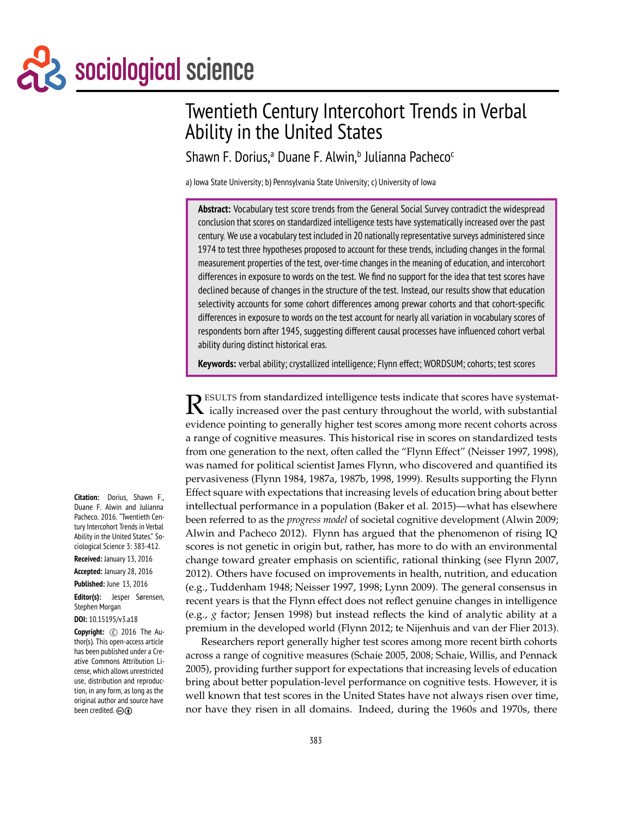# Sociological science

# Twentieth Century Intercohort Trends in Verbal Ability in the United States

Shawn F. Dorius,<sup>a</sup> Duane F. Alwin,<sup>b</sup> Julianna Pacheco<sup>c</sup>

a) Iowa State University; b) Pennsylvania State University; c) University of Iowa

**Abstract:** Vocabulary test score trends from the General Social Survey contradict the widespread conclusion that scores on standardized intelligence tests have systematically increased over the past century. We use a vocabulary test included in 20 nationally representative surveys administered since 1974 to test three hypotheses proposed to account for these trends, including changes in the formal measurement properties of the test, over-time changes in the meaning of education, and intercohort differences in exposure to words on the test. We find no support for the idea that test scores have declined because of changes in the structure of the test. Instead, our results show that education selectivity accounts for some cohort differences among prewar cohorts and that cohort-specific differences in exposure to words on the test account for nearly all variation in vocabulary scores of respondents born after 1945, suggesting different causal processes have influenced cohort verbal ability during distinct historical eras.

**Keywords:** verbal ability; crystallized intelligence; Flynn effect; WORDSUM; cohorts; test scores

R ESULTS from standardized intelligence tests indicate that scores have systematically increased over the past century throughout the world, with substantial ically increased over the past century throughout the world, with substantial evidence pointing to generally higher test scores among more recent cohorts across a range of cognitive measures. This historical rise in scores on standardized tests from one generation to the next, often called the "Flynn Effect" (Neisser 1997, 1998), was named for political scientist James Flynn, who discovered and quantified its pervasiveness (Flynn 1984, 1987a, 1987b, 1998, 1999). Results supporting the Flynn Effect square with expectations that increasing levels of education bring about better intellectual performance in a population (Baker et al. 2015)—what has elsewhere been referred to as the *progress model* of societal cognitive development (Alwin 2009; Alwin and Pacheco 2012). Flynn has argued that the phenomenon of rising IQ scores is not genetic in origin but, rather, has more to do with an environmental change toward greater emphasis on scientific, rational thinking (see Flynn 2007, 2012). Others have focused on improvements in health, nutrition, and education (e.g., Tuddenham 1948; Neisser 1997, 1998; Lynn 2009). The general consensus in recent years is that the Flynn effect does not reflect genuine changes in intelligence (e.g., *g* factor; Jensen 1998) but instead reflects the kind of analytic ability at a premium in the developed world (Flynn 2012; te Nijenhuis and van der Flier 2013).

Researchers report generally higher test scores among more recent birth cohorts across a range of cognitive measures (Schaie 2005, 2008; Schaie, Willis, and Pennack 2005), providing further support for expectations that increasing levels of education bring about better population-level performance on cognitive tests. However, it is well known that test scores in the United States have not always risen over time, nor have they risen in all domains. Indeed, during the 1960s and 1970s, there

**Citation:** Dorius, Shawn F., Duane F. Alwin and Julianna Pacheco. 2016. "Twentieth Century Intercohort Trends in Verbal Ability in the United States." Sociological Science 3: 383-412.

**Received:** January 13, 2016

**Accepted:** January 28, 2016 **Published:** June 13, 2016

**Editor(s):** Jesper Sørensen, Stephen Morgan

#### **DOI:** 10.15195/v3.a18

**Copyright:** (c) 2016 The Author(s). This open-access article has been published under a Creative Commons Attribution License, which allows unrestricted use, distribution and reproduction, in any form, as long as the original author and source have been credited.  $\odot$   $\odot$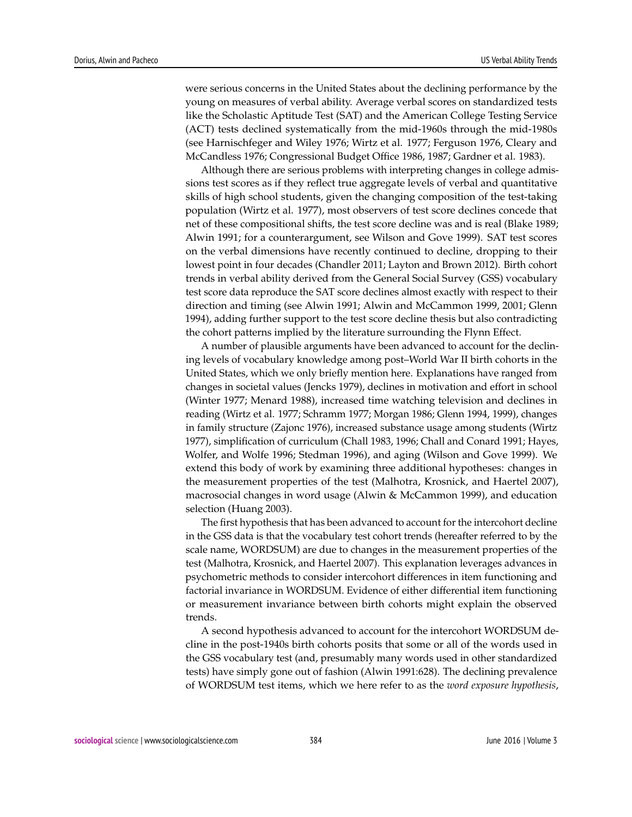were serious concerns in the United States about the declining performance by the young on measures of verbal ability. Average verbal scores on standardized tests like the Scholastic Aptitude Test (SAT) and the American College Testing Service (ACT) tests declined systematically from the mid-1960s through the mid-1980s (see Harnischfeger and Wiley 1976; Wirtz et al. 1977; Ferguson 1976, Cleary and McCandless 1976; Congressional Budget Office 1986, 1987; Gardner et al. 1983).

Although there are serious problems with interpreting changes in college admissions test scores as if they reflect true aggregate levels of verbal and quantitative skills of high school students, given the changing composition of the test-taking population (Wirtz et al. 1977), most observers of test score declines concede that net of these compositional shifts, the test score decline was and is real (Blake 1989; Alwin 1991; for a counterargument, see Wilson and Gove 1999). SAT test scores on the verbal dimensions have recently continued to decline, dropping to their lowest point in four decades (Chandler 2011; Layton and Brown 2012). Birth cohort trends in verbal ability derived from the General Social Survey (GSS) vocabulary test score data reproduce the SAT score declines almost exactly with respect to their direction and timing (see Alwin 1991; Alwin and McCammon 1999, 2001; Glenn 1994), adding further support to the test score decline thesis but also contradicting the cohort patterns implied by the literature surrounding the Flynn Effect.

A number of plausible arguments have been advanced to account for the declining levels of vocabulary knowledge among post–World War II birth cohorts in the United States, which we only briefly mention here. Explanations have ranged from changes in societal values (Jencks 1979), declines in motivation and effort in school (Winter 1977; Menard 1988), increased time watching television and declines in reading (Wirtz et al. 1977; Schramm 1977; Morgan 1986; Glenn 1994, 1999), changes in family structure (Zajonc 1976), increased substance usage among students (Wirtz 1977), simplification of curriculum (Chall 1983, 1996; Chall and Conard 1991; Hayes, Wolfer, and Wolfe 1996; Stedman 1996), and aging (Wilson and Gove 1999). We extend this body of work by examining three additional hypotheses: changes in the measurement properties of the test (Malhotra, Krosnick, and Haertel 2007), macrosocial changes in word usage (Alwin & McCammon 1999), and education selection (Huang 2003).

The first hypothesis that has been advanced to account for the intercohort decline in the GSS data is that the vocabulary test cohort trends (hereafter referred to by the scale name, WORDSUM) are due to changes in the measurement properties of the test (Malhotra, Krosnick, and Haertel 2007). This explanation leverages advances in psychometric methods to consider intercohort differences in item functioning and factorial invariance in WORDSUM. Evidence of either differential item functioning or measurement invariance between birth cohorts might explain the observed trends.

A second hypothesis advanced to account for the intercohort WORDSUM decline in the post-1940s birth cohorts posits that some or all of the words used in the GSS vocabulary test (and, presumably many words used in other standardized tests) have simply gone out of fashion (Alwin 1991:628). The declining prevalence of WORDSUM test items, which we here refer to as the *word exposure hypothesis*,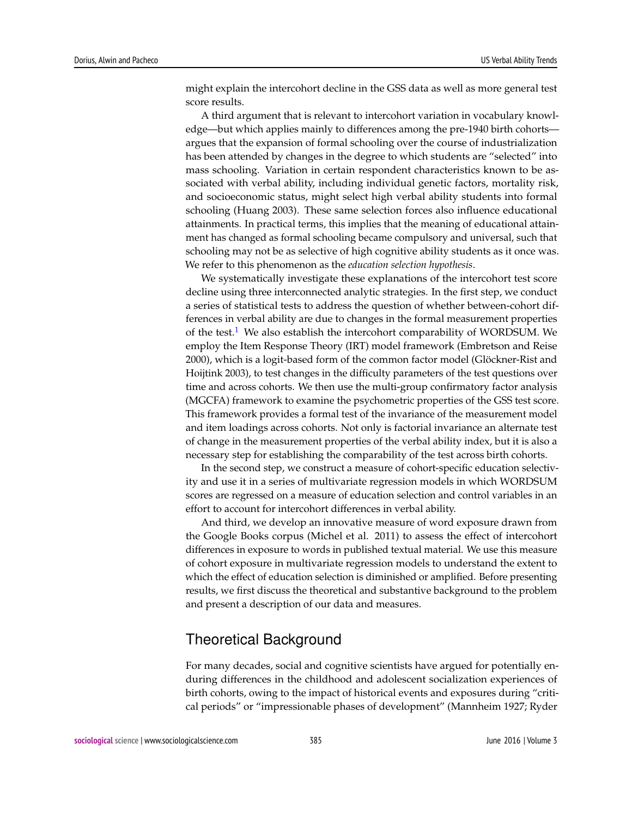might explain the intercohort decline in the GSS data as well as more general test score results.

A third argument that is relevant to intercohort variation in vocabulary knowledge—but which applies mainly to differences among the pre-1940 birth cohorts argues that the expansion of formal schooling over the course of industrialization has been attended by changes in the degree to which students are "selected" into mass schooling. Variation in certain respondent characteristics known to be associated with verbal ability, including individual genetic factors, mortality risk, and socioeconomic status, might select high verbal ability students into formal schooling (Huang 2003). These same selection forces also influence educational attainments. In practical terms, this implies that the meaning of educational attainment has changed as formal schooling became compulsory and universal, such that schooling may not be as selective of high cognitive ability students as it once was. We refer to this phenomenon as the *education selection hypothesis*.

<span id="page-2-0"></span>We systematically investigate these explanations of the intercohort test score decline using three interconnected analytic strategies. In the first step, we conduct a series of statistical tests to address the question of whether between-cohort differences in verbal ability are due to changes in the formal measurement properties of the test.<sup>[1](#page-21-0)</sup> We also establish the intercohort comparability of WORDSUM. We employ the Item Response Theory (IRT) model framework (Embretson and Reise 2000), which is a logit-based form of the common factor model (Glöckner-Rist and Hoijtink 2003), to test changes in the difficulty parameters of the test questions over time and across cohorts. We then use the multi-group confirmatory factor analysis (MGCFA) framework to examine the psychometric properties of the GSS test score. This framework provides a formal test of the invariance of the measurement model and item loadings across cohorts. Not only is factorial invariance an alternate test of change in the measurement properties of the verbal ability index, but it is also a necessary step for establishing the comparability of the test across birth cohorts.

In the second step, we construct a measure of cohort-specific education selectivity and use it in a series of multivariate regression models in which WORDSUM scores are regressed on a measure of education selection and control variables in an effort to account for intercohort differences in verbal ability.

And third, we develop an innovative measure of word exposure drawn from the Google Books corpus (Michel et al. 2011) to assess the effect of intercohort differences in exposure to words in published textual material. We use this measure of cohort exposure in multivariate regression models to understand the extent to which the effect of education selection is diminished or amplified. Before presenting results, we first discuss the theoretical and substantive background to the problem and present a description of our data and measures.

# Theoretical Background

For many decades, social and cognitive scientists have argued for potentially enduring differences in the childhood and adolescent socialization experiences of birth cohorts, owing to the impact of historical events and exposures during "critical periods" or "impressionable phases of development" (Mannheim 1927; Ryder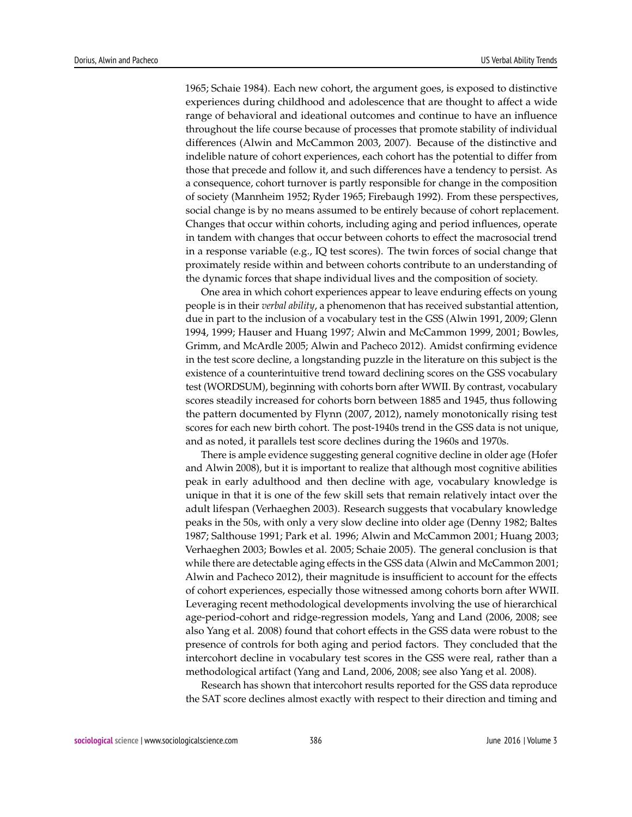1965; Schaie 1984). Each new cohort, the argument goes, is exposed to distinctive experiences during childhood and adolescence that are thought to affect a wide range of behavioral and ideational outcomes and continue to have an influence throughout the life course because of processes that promote stability of individual differences (Alwin and McCammon 2003, 2007). Because of the distinctive and indelible nature of cohort experiences, each cohort has the potential to differ from those that precede and follow it, and such differences have a tendency to persist. As a consequence, cohort turnover is partly responsible for change in the composition of society (Mannheim 1952; Ryder 1965; Firebaugh 1992). From these perspectives, social change is by no means assumed to be entirely because of cohort replacement. Changes that occur within cohorts, including aging and period influences, operate in tandem with changes that occur between cohorts to effect the macrosocial trend in a response variable (e.g., IQ test scores). The twin forces of social change that proximately reside within and between cohorts contribute to an understanding of the dynamic forces that shape individual lives and the composition of society.

One area in which cohort experiences appear to leave enduring effects on young people is in their *verbal ability*, a phenomenon that has received substantial attention, due in part to the inclusion of a vocabulary test in the GSS (Alwin 1991, 2009; Glenn 1994, 1999; Hauser and Huang 1997; Alwin and McCammon 1999, 2001; Bowles, Grimm, and McArdle 2005; Alwin and Pacheco 2012). Amidst confirming evidence in the test score decline, a longstanding puzzle in the literature on this subject is the existence of a counterintuitive trend toward declining scores on the GSS vocabulary test (WORDSUM), beginning with cohorts born after WWII. By contrast, vocabulary scores steadily increased for cohorts born between 1885 and 1945, thus following the pattern documented by Flynn (2007, 2012), namely monotonically rising test scores for each new birth cohort. The post-1940s trend in the GSS data is not unique, and as noted, it parallels test score declines during the 1960s and 1970s.

There is ample evidence suggesting general cognitive decline in older age (Hofer and Alwin 2008), but it is important to realize that although most cognitive abilities peak in early adulthood and then decline with age, vocabulary knowledge is unique in that it is one of the few skill sets that remain relatively intact over the adult lifespan (Verhaeghen 2003). Research suggests that vocabulary knowledge peaks in the 50s, with only a very slow decline into older age (Denny 1982; Baltes 1987; Salthouse 1991; Park et al. 1996; Alwin and McCammon 2001; Huang 2003; Verhaeghen 2003; Bowles et al. 2005; Schaie 2005). The general conclusion is that while there are detectable aging effects in the GSS data (Alwin and McCammon 2001; Alwin and Pacheco 2012), their magnitude is insufficient to account for the effects of cohort experiences, especially those witnessed among cohorts born after WWII. Leveraging recent methodological developments involving the use of hierarchical age-period-cohort and ridge-regression models, Yang and Land (2006, 2008; see also Yang et al. 2008) found that cohort effects in the GSS data were robust to the presence of controls for both aging and period factors. They concluded that the intercohort decline in vocabulary test scores in the GSS were real, rather than a methodological artifact (Yang and Land, 2006, 2008; see also Yang et al. 2008).

Research has shown that intercohort results reported for the GSS data reproduce the SAT score declines almost exactly with respect to their direction and timing and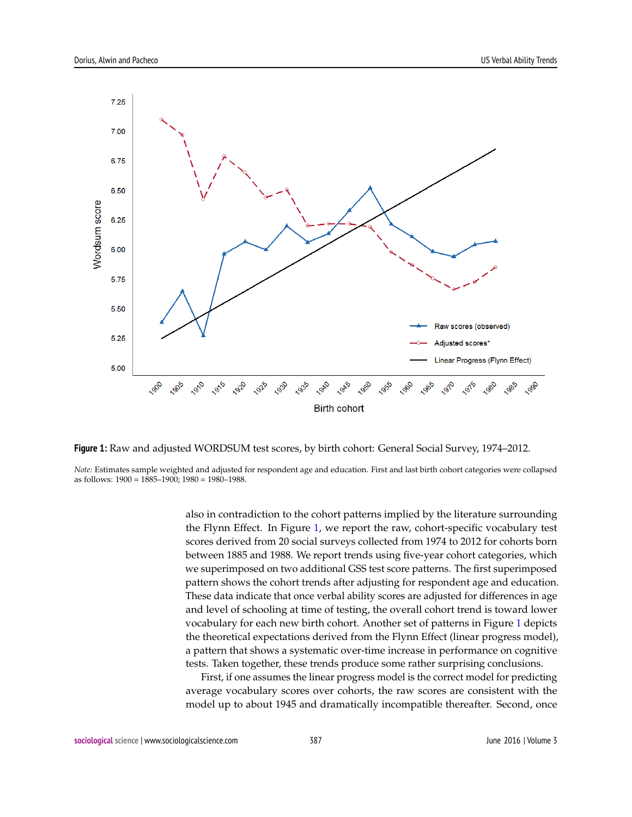<span id="page-4-0"></span>



*Note:* Estimates sample weighted and adjusted for respondent age and education. First and last birth cohort categories were collapsed as follows: 1900 = 1885–1900; 1980 = 1980–1988.

> also in contradiction to the cohort patterns implied by the literature surrounding the Flynn Effect. In Figure [1,](#page-4-0) we report the raw, cohort-specific vocabulary test scores derived from 20 social surveys collected from 1974 to 2012 for cohorts born between 1885 and 1988. We report trends using five-year cohort categories, which we superimposed on two additional GSS test score patterns. The first superimposed pattern shows the cohort trends after adjusting for respondent age and education. These data indicate that once verbal ability scores are adjusted for differences in age and level of schooling at time of testing, the overall cohort trend is toward lower vocabulary for each new birth cohort. Another set of patterns in Figure [1](#page-4-0) depicts the theoretical expectations derived from the Flynn Effect (linear progress model), a pattern that shows a systematic over-time increase in performance on cognitive tests. Taken together, these trends produce some rather surprising conclusions.

> First, if one assumes the linear progress model is the correct model for predicting average vocabulary scores over cohorts, the raw scores are consistent with the model up to about 1945 and dramatically incompatible thereafter. Second, once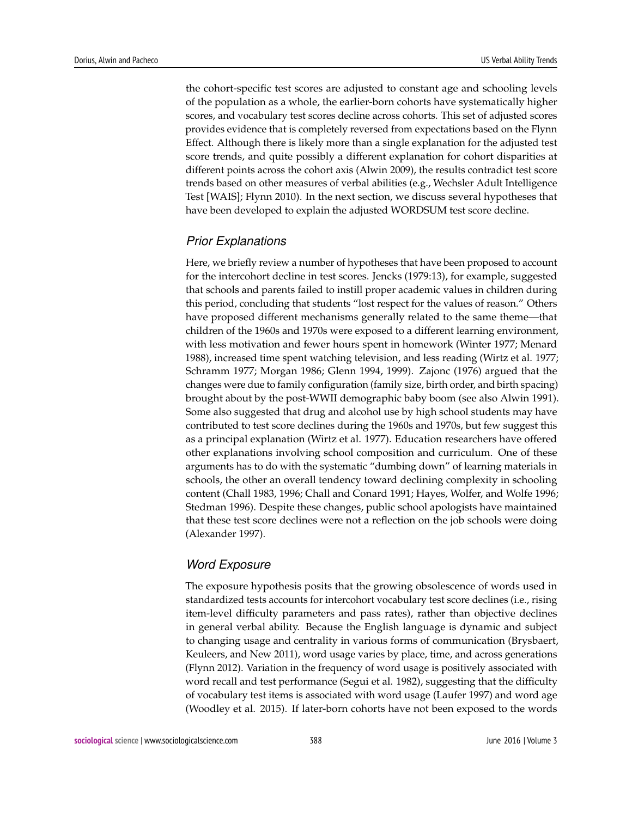the cohort-specific test scores are adjusted to constant age and schooling levels of the population as a whole, the earlier-born cohorts have systematically higher scores, and vocabulary test scores decline across cohorts. This set of adjusted scores provides evidence that is completely reversed from expectations based on the Flynn Effect. Although there is likely more than a single explanation for the adjusted test score trends, and quite possibly a different explanation for cohort disparities at different points across the cohort axis (Alwin 2009), the results contradict test score trends based on other measures of verbal abilities (e.g., Wechsler Adult Intelligence Test [WAIS]; Flynn 2010). In the next section, we discuss several hypotheses that have been developed to explain the adjusted WORDSUM test score decline.

#### *Prior Explanations*

Here, we briefly review a number of hypotheses that have been proposed to account for the intercohort decline in test scores. Jencks (1979:13), for example, suggested that schools and parents failed to instill proper academic values in children during this period, concluding that students "lost respect for the values of reason." Others have proposed different mechanisms generally related to the same theme—that children of the 1960s and 1970s were exposed to a different learning environment, with less motivation and fewer hours spent in homework (Winter 1977; Menard 1988), increased time spent watching television, and less reading (Wirtz et al. 1977; Schramm 1977; Morgan 1986; Glenn 1994, 1999). Zajonc (1976) argued that the changes were due to family configuration (family size, birth order, and birth spacing) brought about by the post-WWII demographic baby boom (see also Alwin 1991). Some also suggested that drug and alcohol use by high school students may have contributed to test score declines during the 1960s and 1970s, but few suggest this as a principal explanation (Wirtz et al. 1977). Education researchers have offered other explanations involving school composition and curriculum. One of these arguments has to do with the systematic "dumbing down" of learning materials in schools, the other an overall tendency toward declining complexity in schooling content (Chall 1983, 1996; Chall and Conard 1991; Hayes, Wolfer, and Wolfe 1996; Stedman 1996). Despite these changes, public school apologists have maintained that these test score declines were not a reflection on the job schools were doing (Alexander 1997).

#### *Word Exposure*

The exposure hypothesis posits that the growing obsolescence of words used in standardized tests accounts for intercohort vocabulary test score declines (i.e., rising item-level difficulty parameters and pass rates), rather than objective declines in general verbal ability. Because the English language is dynamic and subject to changing usage and centrality in various forms of communication (Brysbaert, Keuleers, and New 2011), word usage varies by place, time, and across generations (Flynn 2012). Variation in the frequency of word usage is positively associated with word recall and test performance (Segui et al. 1982), suggesting that the difficulty of vocabulary test items is associated with word usage (Laufer 1997) and word age (Woodley et al. 2015). If later-born cohorts have not been exposed to the words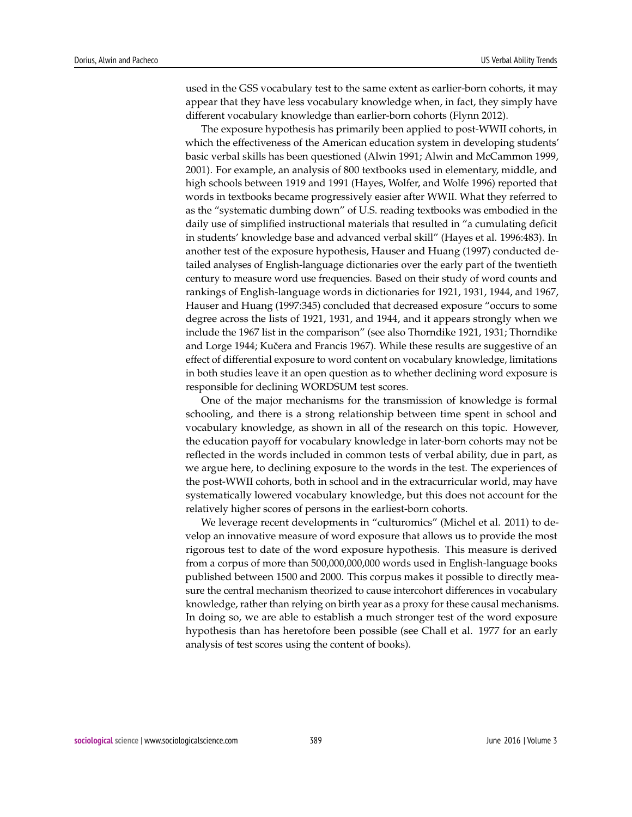used in the GSS vocabulary test to the same extent as earlier-born cohorts, it may appear that they have less vocabulary knowledge when, in fact, they simply have different vocabulary knowledge than earlier-born cohorts (Flynn 2012).

The exposure hypothesis has primarily been applied to post-WWII cohorts, in which the effectiveness of the American education system in developing students' basic verbal skills has been questioned (Alwin 1991; Alwin and McCammon 1999, 2001). For example, an analysis of 800 textbooks used in elementary, middle, and high schools between 1919 and 1991 (Hayes, Wolfer, and Wolfe 1996) reported that words in textbooks became progressively easier after WWII. What they referred to as the "systematic dumbing down" of U.S. reading textbooks was embodied in the daily use of simplified instructional materials that resulted in "a cumulating deficit in students' knowledge base and advanced verbal skill" (Hayes et al. 1996:483). In another test of the exposure hypothesis, Hauser and Huang (1997) conducted detailed analyses of English-language dictionaries over the early part of the twentieth century to measure word use frequencies. Based on their study of word counts and rankings of English-language words in dictionaries for 1921, 1931, 1944, and 1967, Hauser and Huang (1997:345) concluded that decreased exposure "occurs to some degree across the lists of 1921, 1931, and 1944, and it appears strongly when we include the 1967 list in the comparison" (see also Thorndike 1921, 1931; Thorndike and Lorge 1944; Kučera and Francis 1967). While these results are suggestive of an effect of differential exposure to word content on vocabulary knowledge, limitations in both studies leave it an open question as to whether declining word exposure is responsible for declining WORDSUM test scores.

One of the major mechanisms for the transmission of knowledge is formal schooling, and there is a strong relationship between time spent in school and vocabulary knowledge, as shown in all of the research on this topic. However, the education payoff for vocabulary knowledge in later-born cohorts may not be reflected in the words included in common tests of verbal ability, due in part, as we argue here, to declining exposure to the words in the test. The experiences of the post-WWII cohorts, both in school and in the extracurricular world, may have systematically lowered vocabulary knowledge, but this does not account for the relatively higher scores of persons in the earliest-born cohorts.

We leverage recent developments in "culturomics" (Michel et al. 2011) to develop an innovative measure of word exposure that allows us to provide the most rigorous test to date of the word exposure hypothesis. This measure is derived from a corpus of more than 500,000,000,000 words used in English-language books published between 1500 and 2000. This corpus makes it possible to directly measure the central mechanism theorized to cause intercohort differences in vocabulary knowledge, rather than relying on birth year as a proxy for these causal mechanisms. In doing so, we are able to establish a much stronger test of the word exposure hypothesis than has heretofore been possible (see Chall et al. 1977 for an early analysis of test scores using the content of books).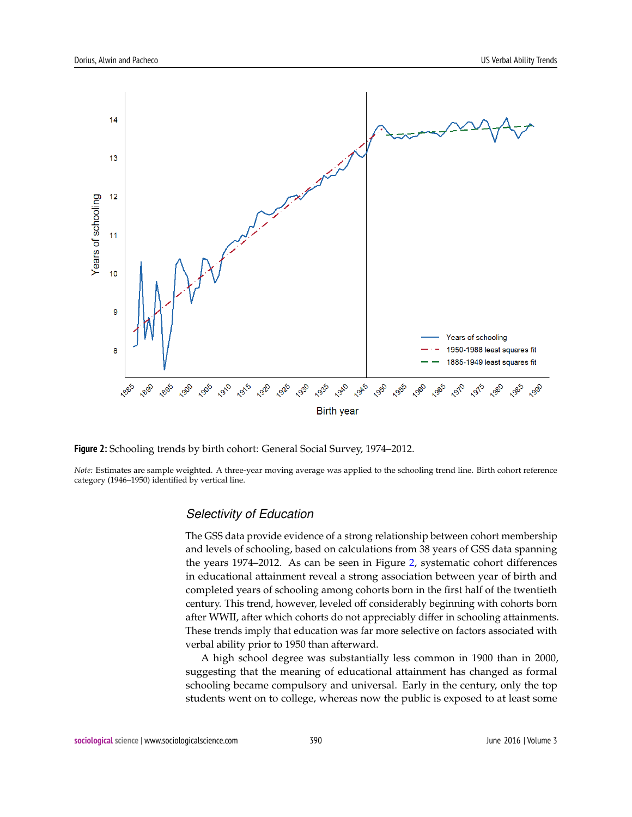<span id="page-7-0"></span>

**Figure 2:** Schooling trends by birth cohort: General Social Survey, 1974–2012.

*Note:* Estimates are sample weighted. A three-year moving average was applied to the schooling trend line. Birth cohort reference category (1946–1950) identified by vertical line.

#### *Selectivity of Education*

The GSS data provide evidence of a strong relationship between cohort membership and levels of schooling, based on calculations from 38 years of GSS data spanning the years 1974–2012. As can be seen in Figure [2,](#page-7-0) systematic cohort differences in educational attainment reveal a strong association between year of birth and completed years of schooling among cohorts born in the first half of the twentieth century. This trend, however, leveled off considerably beginning with cohorts born after WWII, after which cohorts do not appreciably differ in schooling attainments. These trends imply that education was far more selective on factors associated with verbal ability prior to 1950 than afterward.

A high school degree was substantially less common in 1900 than in 2000, suggesting that the meaning of educational attainment has changed as formal schooling became compulsory and universal. Early in the century, only the top students went on to college, whereas now the public is exposed to at least some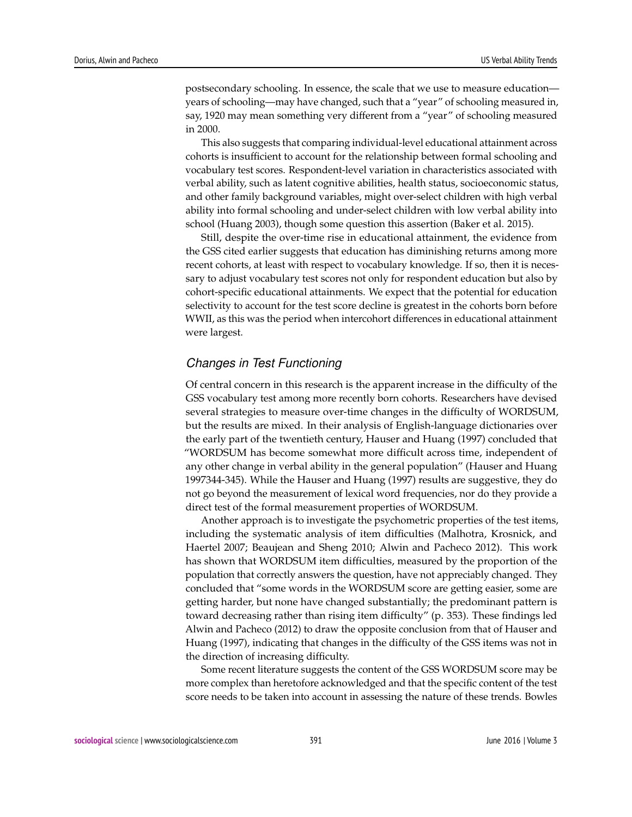postsecondary schooling. In essence, the scale that we use to measure education years of schooling—may have changed, such that a "year" of schooling measured in, say, 1920 may mean something very different from a "year" of schooling measured in 2000.

This also suggests that comparing individual-level educational attainment across cohorts is insufficient to account for the relationship between formal schooling and vocabulary test scores. Respondent-level variation in characteristics associated with verbal ability, such as latent cognitive abilities, health status, socioeconomic status, and other family background variables, might over-select children with high verbal ability into formal schooling and under-select children with low verbal ability into school (Huang 2003), though some question this assertion (Baker et al. 2015).

Still, despite the over-time rise in educational attainment, the evidence from the GSS cited earlier suggests that education has diminishing returns among more recent cohorts, at least with respect to vocabulary knowledge. If so, then it is necessary to adjust vocabulary test scores not only for respondent education but also by cohort-specific educational attainments. We expect that the potential for education selectivity to account for the test score decline is greatest in the cohorts born before WWII, as this was the period when intercohort differences in educational attainment were largest.

#### *Changes in Test Functioning*

Of central concern in this research is the apparent increase in the difficulty of the GSS vocabulary test among more recently born cohorts. Researchers have devised several strategies to measure over-time changes in the difficulty of WORDSUM, but the results are mixed. In their analysis of English-language dictionaries over the early part of the twentieth century, Hauser and Huang (1997) concluded that "WORDSUM has become somewhat more difficult across time, independent of any other change in verbal ability in the general population" (Hauser and Huang 1997344-345). While the Hauser and Huang (1997) results are suggestive, they do not go beyond the measurement of lexical word frequencies, nor do they provide a direct test of the formal measurement properties of WORDSUM.

Another approach is to investigate the psychometric properties of the test items, including the systematic analysis of item difficulties (Malhotra, Krosnick, and Haertel 2007; Beaujean and Sheng 2010; Alwin and Pacheco 2012). This work has shown that WORDSUM item difficulties, measured by the proportion of the population that correctly answers the question, have not appreciably changed. They concluded that "some words in the WORDSUM score are getting easier, some are getting harder, but none have changed substantially; the predominant pattern is toward decreasing rather than rising item difficulty" (p. 353). These findings led Alwin and Pacheco (2012) to draw the opposite conclusion from that of Hauser and Huang (1997), indicating that changes in the difficulty of the GSS items was not in the direction of increasing difficulty.

Some recent literature suggests the content of the GSS WORDSUM score may be more complex than heretofore acknowledged and that the specific content of the test score needs to be taken into account in assessing the nature of these trends. Bowles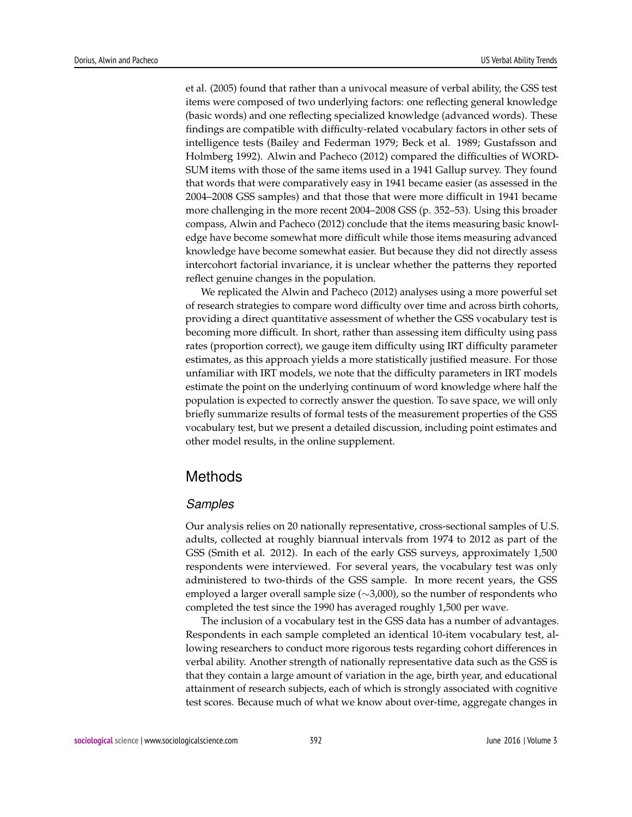et al. (2005) found that rather than a univocal measure of verbal ability, the GSS test items were composed of two underlying factors: one reflecting general knowledge (basic words) and one reflecting specialized knowledge (advanced words). These findings are compatible with difficulty-related vocabulary factors in other sets of intelligence tests (Bailey and Federman 1979; Beck et al. 1989; Gustafsson and Holmberg 1992). Alwin and Pacheco (2012) compared the difficulties of WORD-SUM items with those of the same items used in a 1941 Gallup survey. They found that words that were comparatively easy in 1941 became easier (as assessed in the 2004–2008 GSS samples) and that those that were more difficult in 1941 became more challenging in the more recent 2004–2008 GSS (p. 352–53). Using this broader compass, Alwin and Pacheco (2012) conclude that the items measuring basic knowledge have become somewhat more difficult while those items measuring advanced knowledge have become somewhat easier. But because they did not directly assess intercohort factorial invariance, it is unclear whether the patterns they reported reflect genuine changes in the population.

We replicated the Alwin and Pacheco (2012) analyses using a more powerful set of research strategies to compare word difficulty over time and across birth cohorts, providing a direct quantitative assessment of whether the GSS vocabulary test is becoming more difficult. In short, rather than assessing item difficulty using pass rates (proportion correct), we gauge item difficulty using IRT difficulty parameter estimates, as this approach yields a more statistically justified measure. For those unfamiliar with IRT models, we note that the difficulty parameters in IRT models estimate the point on the underlying continuum of word knowledge where half the population is expected to correctly answer the question. To save space, we will only briefly summarize results of formal tests of the measurement properties of the GSS vocabulary test, but we present a detailed discussion, including point estimates and other model results, in the online supplement.

# Methods

#### *Samples*

Our analysis relies on 20 nationally representative, cross-sectional samples of U.S. adults, collected at roughly biannual intervals from 1974 to 2012 as part of the GSS (Smith et al. 2012). In each of the early GSS surveys, approximately 1,500 respondents were interviewed. For several years, the vocabulary test was only administered to two-thirds of the GSS sample. In more recent years, the GSS employed a larger overall sample size (∼3,000), so the number of respondents who completed the test since the 1990 has averaged roughly 1,500 per wave.

The inclusion of a vocabulary test in the GSS data has a number of advantages. Respondents in each sample completed an identical 10-item vocabulary test, allowing researchers to conduct more rigorous tests regarding cohort differences in verbal ability. Another strength of nationally representative data such as the GSS is that they contain a large amount of variation in the age, birth year, and educational attainment of research subjects, each of which is strongly associated with cognitive test scores. Because much of what we know about over-time, aggregate changes in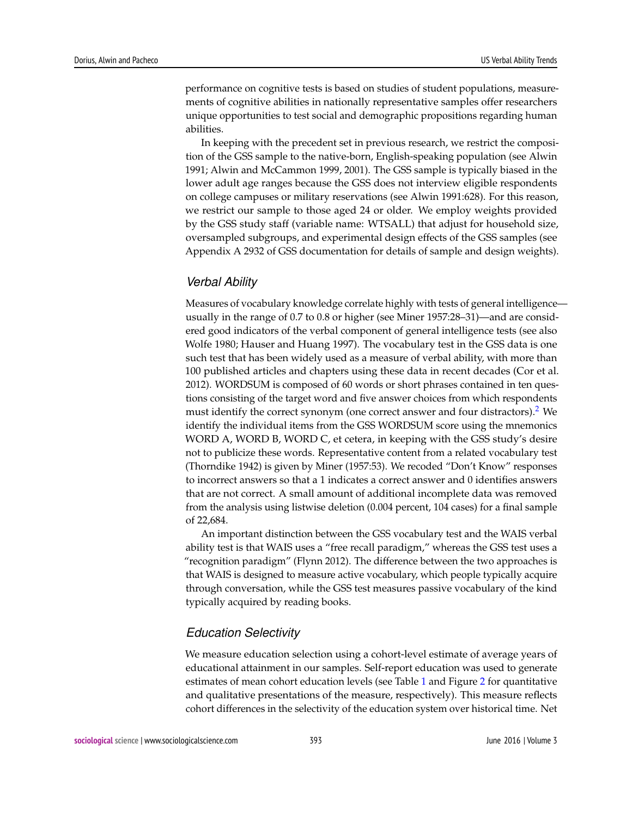performance on cognitive tests is based on studies of student populations, measurements of cognitive abilities in nationally representative samples offer researchers unique opportunities to test social and demographic propositions regarding human abilities.

In keeping with the precedent set in previous research, we restrict the composition of the GSS sample to the native-born, English-speaking population (see Alwin 1991; Alwin and McCammon 1999, 2001). The GSS sample is typically biased in the lower adult age ranges because the GSS does not interview eligible respondents on college campuses or military reservations (see Alwin 1991:628). For this reason, we restrict our sample to those aged 24 or older. We employ weights provided by the GSS study staff (variable name: WTSALL) that adjust for household size, oversampled subgroups, and experimental design effects of the GSS samples (see Appendix A 2932 of GSS documentation for details of sample and design weights).

#### *Verbal Ability*

<span id="page-10-0"></span>Measures of vocabulary knowledge correlate highly with tests of general intelligence usually in the range of 0.7 to 0.8 or higher (see Miner 1957:28–31)—and are considered good indicators of the verbal component of general intelligence tests (see also Wolfe 1980; Hauser and Huang 1997). The vocabulary test in the GSS data is one such test that has been widely used as a measure of verbal ability, with more than 100 published articles and chapters using these data in recent decades (Cor et al. 2012). WORDSUM is composed of 60 words or short phrases contained in ten questions consisting of the target word and five answer choices from which respondents must identify the correct synonym (one correct answer and four distractors).  $2$  We identify the individual items from the GSS WORDSUM score using the mnemonics WORD A, WORD B, WORD C, et cetera, in keeping with the GSS study's desire not to publicize these words. Representative content from a related vocabulary test (Thorndike 1942) is given by Miner (1957:53). We recoded "Don't Know" responses to incorrect answers so that a 1 indicates a correct answer and 0 identifies answers that are not correct. A small amount of additional incomplete data was removed from the analysis using listwise deletion (0.004 percent, 104 cases) for a final sample of 22,684.

An important distinction between the GSS vocabulary test and the WAIS verbal ability test is that WAIS uses a "free recall paradigm," whereas the GSS test uses a "recognition paradigm" (Flynn 2012). The difference between the two approaches is that WAIS is designed to measure active vocabulary, which people typically acquire through conversation, while the GSS test measures passive vocabulary of the kind typically acquired by reading books.

#### *Education Selectivity*

We measure education selection using a cohort-level estimate of average years of educational attainment in our samples. Self-report education was used to generate estimates of mean cohort education levels (see Table [1](#page-12-0) and Figure [2](#page-7-0) for quantitative and qualitative presentations of the measure, respectively). This measure reflects cohort differences in the selectivity of the education system over historical time. Net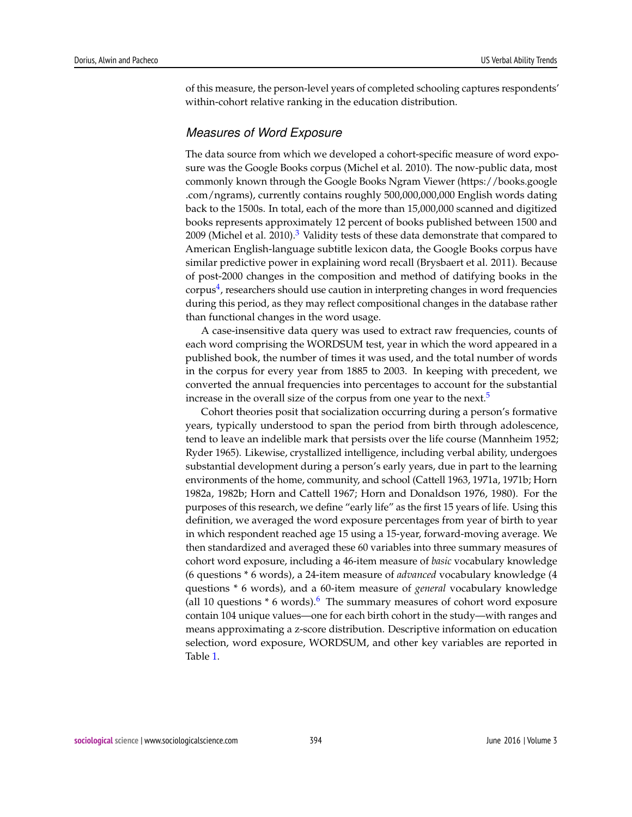of this measure, the person-level years of completed schooling captures respondents' within-cohort relative ranking in the education distribution.

#### *Measures of Word Exposure*

<span id="page-11-0"></span>The data source from which we developed a cohort-specific measure of word exposure was the Google Books corpus (Michel et al. 2010). The now-public data, most commonly known through the Google Books Ngram Viewer (https://books.google .com/ngrams), currently contains roughly 500,000,000,000 English words dating back to the 1500s. In total, each of the more than 15,000,000 scanned and digitized books represents approximately 12 percent of books published between 1500 and 2009 (Michel et al. 2010).<sup>[3](#page-22-0)</sup> Validity tests of these data demonstrate that compared to American English-language subtitle lexicon data, the Google Books corpus have similar predictive power in explaining word recall (Brysbaert et al. 2011). Because of post-2000 changes in the composition and method of datifying books in the  $\text{corpus}^4$  $\text{corpus}^4$ , researchers should use caution in interpreting changes in word frequencies during this period, as they may reflect compositional changes in the database rather than functional changes in the word usage.

<span id="page-11-1"></span>A case-insensitive data query was used to extract raw frequencies, counts of each word comprising the WORDSUM test, year in which the word appeared in a published book, the number of times it was used, and the total number of words in the corpus for every year from 1885 to 2003. In keeping with precedent, we converted the annual frequencies into percentages to account for the substantial increase in the overall size of the corpus from one year to the next.<sup>[5](#page-22-2)</sup>

<span id="page-11-3"></span><span id="page-11-2"></span>Cohort theories posit that socialization occurring during a person's formative years, typically understood to span the period from birth through adolescence, tend to leave an indelible mark that persists over the life course (Mannheim 1952; Ryder 1965). Likewise, crystallized intelligence, including verbal ability, undergoes substantial development during a person's early years, due in part to the learning environments of the home, community, and school (Cattell 1963, 1971a, 1971b; Horn 1982a, 1982b; Horn and Cattell 1967; Horn and Donaldson 1976, 1980). For the purposes of this research, we define "early life" as the first 15 years of life. Using this definition, we averaged the word exposure percentages from year of birth to year in which respondent reached age 15 using a 15-year, forward-moving average. We then standardized and averaged these 60 variables into three summary measures of cohort word exposure, including a 46-item measure of *basic* vocabulary knowledge (6 questions \* 6 words), a 24-item measure of *advanced* vocabulary knowledge (4 questions \* 6 words), and a 60-item measure of *general* vocabulary knowledge (all 10 questions  $*$  [6](#page-22-3) words).<sup>6</sup> The summary measures of cohort word exposure contain 104 unique values—one for each birth cohort in the study—with ranges and means approximating a z-score distribution. Descriptive information on education selection, word exposure, WORDSUM, and other key variables are reported in Table [1.](#page-12-0)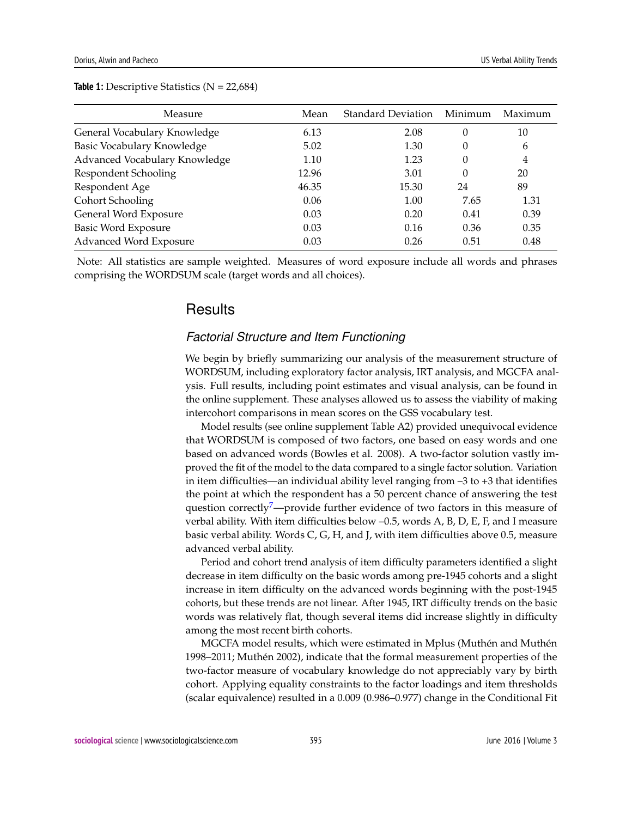| Measure                       | Mean  | Standard Deviation | Minimum | Maximum |
|-------------------------------|-------|--------------------|---------|---------|
| General Vocabulary Knowledge  | 6.13  | 2.08               | 0       | 10      |
| Basic Vocabulary Knowledge    | 5.02  | 1.30               | 0       | 6       |
| Advanced Vocabulary Knowledge | 1.10  | 1.23               | 0       | 4       |
| Respondent Schooling          | 12.96 | 3.01               | 0       | 20      |
| Respondent Age                | 46.35 | 15.30              | 24      | 89      |
| Cohort Schooling              | 0.06  | 1.00               | 7.65    | 1.31    |
| General Word Exposure         | 0.03  | 0.20               | 0.41    | 0.39    |
| <b>Basic Word Exposure</b>    | 0.03  | 0.16               | 0.36    | 0.35    |
| Advanced Word Exposure        | 0.03  | 0.26               | 0.51    | 0.48    |

<span id="page-12-0"></span>**Table 1:** Descriptive Statistics (N = 22,684)

Note: All statistics are sample weighted. Measures of word exposure include all words and phrases comprising the WORDSUM scale (target words and all choices).

# **Results**

#### *Factorial Structure and Item Functioning*

We begin by briefly summarizing our analysis of the measurement structure of WORDSUM, including exploratory factor analysis, IRT analysis, and MGCFA analysis. Full results, including point estimates and visual analysis, can be found in the online supplement. These analyses allowed us to assess the viability of making intercohort comparisons in mean scores on the GSS vocabulary test.

Model results (see online supplement Table A2) provided unequivocal evidence that WORDSUM is composed of two factors, one based on easy words and one based on advanced words (Bowles et al. 2008). A two-factor solution vastly improved the fit of the model to the data compared to a single factor solution. Variation in item difficulties—an individual ability level ranging from  $-3$  to  $+3$  that identifies the point at which the respondent has a 50 percent chance of answering the test question correctly $\sqrt{2}$  -provide further evidence of two factors in this measure of verbal ability. With item difficulties below –0.5, words A, B, D, E, F, and I measure basic verbal ability. Words C, G, H, and J, with item difficulties above 0.5, measure advanced verbal ability.

<span id="page-12-1"></span>Period and cohort trend analysis of item difficulty parameters identified a slight decrease in item difficulty on the basic words among pre-1945 cohorts and a slight increase in item difficulty on the advanced words beginning with the post-1945 cohorts, but these trends are not linear. After 1945, IRT difficulty trends on the basic words was relatively flat, though several items did increase slightly in difficulty among the most recent birth cohorts.

MGCFA model results, which were estimated in Mplus (Muthén and Muthén 1998–2011; Muthén 2002), indicate that the formal measurement properties of the two-factor measure of vocabulary knowledge do not appreciably vary by birth cohort. Applying equality constraints to the factor loadings and item thresholds (scalar equivalence) resulted in a 0.009 (0.986–0.977) change in the Conditional Fit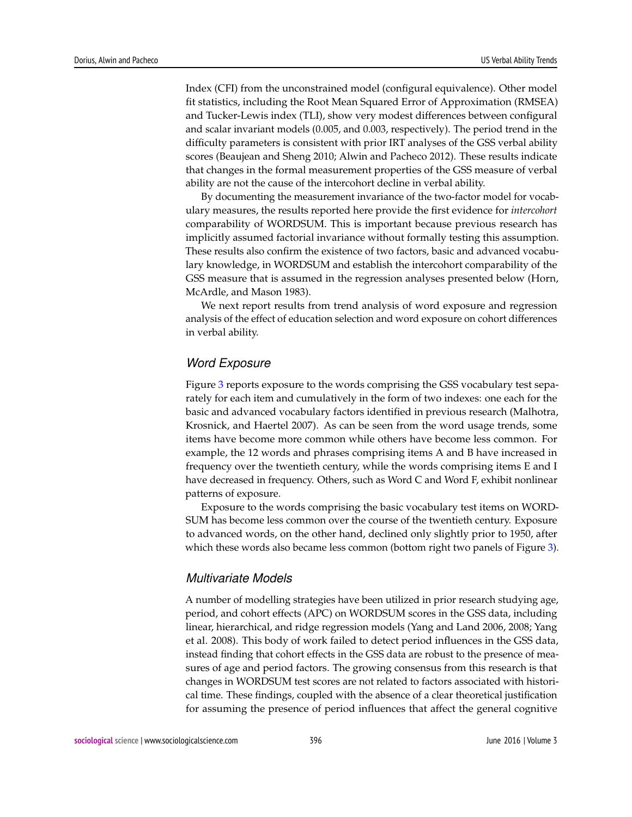Index (CFI) from the unconstrained model (configural equivalence). Other model fit statistics, including the Root Mean Squared Error of Approximation (RMSEA) and Tucker-Lewis index (TLI), show very modest differences between configural and scalar invariant models (0.005, and 0.003, respectively). The period trend in the difficulty parameters is consistent with prior IRT analyses of the GSS verbal ability scores (Beaujean and Sheng 2010; Alwin and Pacheco 2012). These results indicate that changes in the formal measurement properties of the GSS measure of verbal ability are not the cause of the intercohort decline in verbal ability.

By documenting the measurement invariance of the two-factor model for vocabulary measures, the results reported here provide the first evidence for *intercohort* comparability of WORDSUM. This is important because previous research has implicitly assumed factorial invariance without formally testing this assumption. These results also confirm the existence of two factors, basic and advanced vocabulary knowledge, in WORDSUM and establish the intercohort comparability of the GSS measure that is assumed in the regression analyses presented below (Horn, McArdle, and Mason 1983).

We next report results from trend analysis of word exposure and regression analysis of the effect of education selection and word exposure on cohort differences in verbal ability.

#### *Word Exposure*

Figure [3](#page-14-0) reports exposure to the words comprising the GSS vocabulary test separately for each item and cumulatively in the form of two indexes: one each for the basic and advanced vocabulary factors identified in previous research (Malhotra, Krosnick, and Haertel 2007). As can be seen from the word usage trends, some items have become more common while others have become less common. For example, the 12 words and phrases comprising items A and B have increased in frequency over the twentieth century, while the words comprising items E and I have decreased in frequency. Others, such as Word C and Word F, exhibit nonlinear patterns of exposure.

Exposure to the words comprising the basic vocabulary test items on WORD-SUM has become less common over the course of the twentieth century. Exposure to advanced words, on the other hand, declined only slightly prior to 1950, after which these words also became less common (bottom right two panels of Figure [3\)](#page-14-0).

#### *Multivariate Models*

A number of modelling strategies have been utilized in prior research studying age, period, and cohort effects (APC) on WORDSUM scores in the GSS data, including linear, hierarchical, and ridge regression models (Yang and Land 2006, 2008; Yang et al. 2008). This body of work failed to detect period influences in the GSS data, instead finding that cohort effects in the GSS data are robust to the presence of measures of age and period factors. The growing consensus from this research is that changes in WORDSUM test scores are not related to factors associated with historical time. These findings, coupled with the absence of a clear theoretical justification for assuming the presence of period influences that affect the general cognitive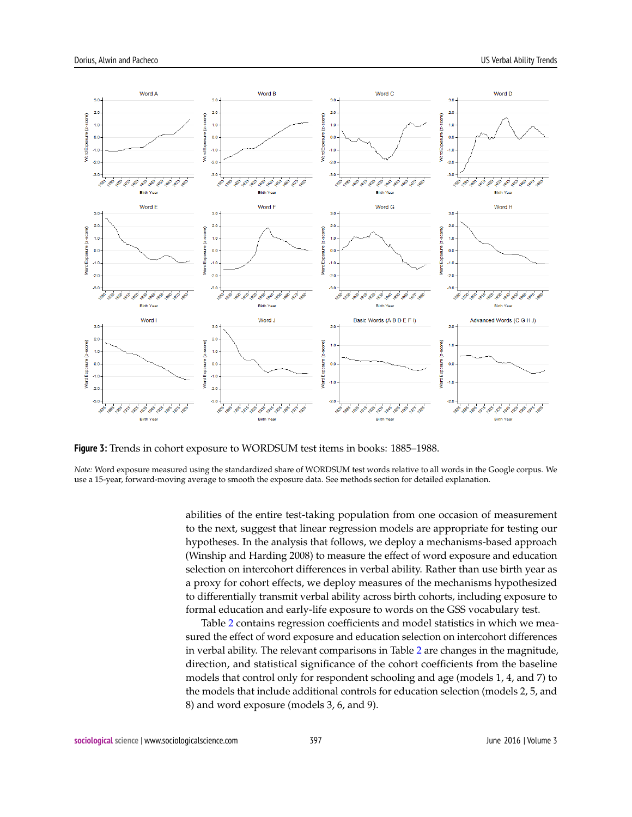<span id="page-14-0"></span>

**Figure 3:** Trends in cohort exposure to WORDSUM test items in books: 1885–1988.

*Note:* Word exposure measured using the standardized share of WORDSUM test words relative to all words in the Google corpus. We use a 15-year, forward-moving average to smooth the exposure data. See methods section for detailed explanation.

> abilities of the entire test-taking population from one occasion of measurement to the next, suggest that linear regression models are appropriate for testing our hypotheses. In the analysis that follows, we deploy a mechanisms-based approach (Winship and Harding 2008) to measure the effect of word exposure and education selection on intercohort differences in verbal ability. Rather than use birth year as a proxy for cohort effects, we deploy measures of the mechanisms hypothesized to differentially transmit verbal ability across birth cohorts, including exposure to formal education and early-life exposure to words on the GSS vocabulary test.

> Table [2](#page-15-0) contains regression coefficients and model statistics in which we measured the effect of word exposure and education selection on intercohort differences in verbal ability. The relevant comparisons in Table [2](#page-15-0) are changes in the magnitude, direction, and statistical significance of the cohort coefficients from the baseline models that control only for respondent schooling and age (models 1, 4, and 7) to the models that include additional controls for education selection (models 2, 5, and 8) and word exposure (models 3, 6, and 9).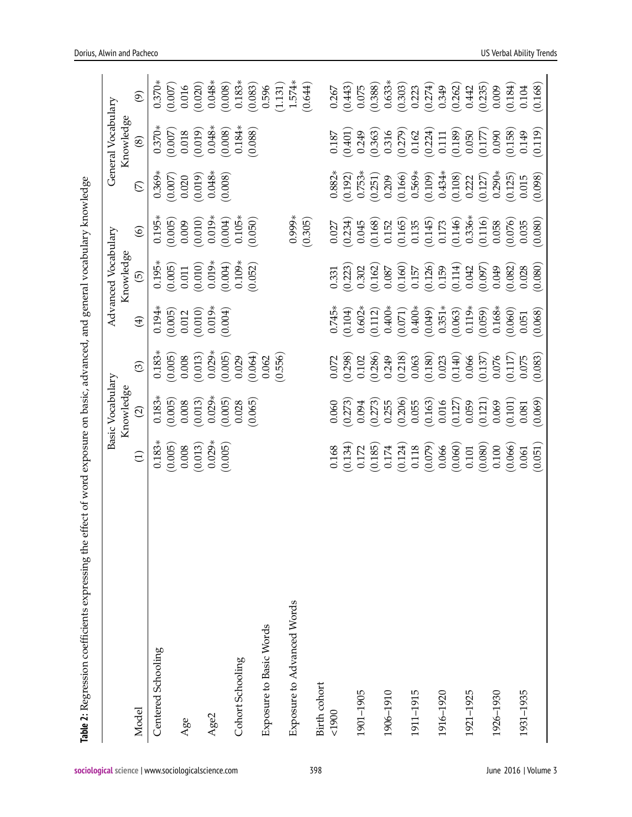<span id="page-15-0"></span>

|                            |           | Basic Vocabulary  |          |                     | Advanced Vocabulary  |                      |                                                           | General Vocabulary |                          |
|----------------------------|-----------|-------------------|----------|---------------------|----------------------|----------------------|-----------------------------------------------------------|--------------------|--------------------------|
|                            |           | Knowledge         |          |                     | Knowledge            |                      |                                                           | Knowledge          |                          |
| Model                      | Ξ         | $\widehat{\circ}$ | $\odot$  | $\bigoplus$         | ত্ৰি                 | $\circledcirc$       | E                                                         | $\circledast$      | $\widehat{\mathfrak{G}}$ |
| Centered Schooling         | $0.183*$  | $0.183*$          | 0.183    | 0.194               | $0.195*$             | 0.195                | $0.369*$                                                  | $0.370*$           | $0.370*$                 |
|                            | (0.005)   | (0.005)           | (0.005)  | (0.005)             | (0.005)              | (0.005)              | (0.007)                                                   | (0.007)            | (0.007)                  |
| Age                        | 0.008     | 0.008             | 0.008    | 0.012               | $0.011\,$            | 0.009                |                                                           | 0.018              | 0.016                    |
|                            | (0.013)   | (0.013)           | (0.013)  | (0.010)             | $(0.010)$<br>0.019*  | $(0.010)$<br>0.019*  | $\begin{array}{c} 0.020 \\ (0.019) \\ 0.048* \end{array}$ | (0.019)            | (0.020)                  |
| Age2                       | $0.029*$  | $0.029*$          | $0.029*$ | $0.019*$            |                      |                      |                                                           |                    | $0.048*$                 |
|                            | (0.005)   | (0.005)           | (0.005)  | (0.004)             | (0.004)              | (0.004)              | (0.008)                                                   | (0.048)            | (0.008)                  |
| Cohort Schooling           |           | 0.028             | 0.029    |                     | $0.109*$             | $0.105*$             |                                                           | $0.184*$           | $0.183*$                 |
|                            |           | (0.065)           | (0.064)  |                     | (0.052)              | (0.050)              |                                                           | (0.088)            | (0.083)                  |
| Exposure to Basic Words    |           |                   | 0.062    |                     |                      |                      |                                                           |                    | 0.596                    |
|                            |           |                   | (0.556)  |                     |                      |                      |                                                           |                    | (1.131)                  |
| Exposure to Advanced Words |           |                   |          |                     |                      | $0.999*$             |                                                           |                    | $1.574*$                 |
|                            |           |                   |          |                     |                      | (0.305)              |                                                           |                    | (0.644)                  |
| Birth cohort               |           |                   |          |                     |                      |                      |                                                           |                    |                          |
| 0061                       | 0.168     | 0.060             | 0.072    |                     | 0.331                | 0.027                | $0.882*$                                                  | $0.187\,$          | 0.267                    |
|                            | (0.134)   | (0.273)           | (0.298)  | $(0.745*)$          | (0.223)              | (0.234)              | (0.192)                                                   | (0.401)            | (0.443)                  |
| 1901-1905                  | 0.172     | 0.094             | 0.102    | $0.602*$            | 0.302                | 0.045                | $0.753*$                                                  | 0.249              | 0.075                    |
|                            | (0.185)   | (0.273)           | (0.286)  | (0.112)             | (0.162)              | $(0.168)$<br>$0.152$ | $(0.251)$<br>0.209                                        | (0.363)            | (0.388)                  |
| 1906-1910                  | 0.174     | 0.255             | 0.249    | $0.400*$            | $0.087\,$            |                      |                                                           | 0.316              | $0.633*$                 |
|                            | (0.124)   | (0.206)           | (0.218)  | (0.071)             | (0.160)              | (0.165)              | (0.166)                                                   | (0.279)            | (0.303)                  |
| 1911-1915                  | 0.118     | 0.055             | 0.063    | $0.400*$            | 0.157                | 0.135                | $0.569*$                                                  | 0.162              | 0.223                    |
|                            | (0.079)   | (0.163)           | (0.180)  | (0.049)             | (0.126)              | $(0.145)$<br>0.173   | (0.109)                                                   | (0.224)            | (0.274)                  |
| 1916-1920                  | 0.066     | 0.016             | 0.023    |                     | 0.159                |                      | $0.434*$                                                  | $0.111\,$          | 0.349                    |
|                            | (0.060)   | (0.127)           | (0.140)  | $0.351*$<br>(0.063) | (0.114)              | (0.146)              | (0.108)                                                   | (0.189)            | (0.262)                  |
| 1921-1925                  | $0.101\,$ | 0.059             | 0.066    | $0.119*$            | 0.042                | $0.336*$             | 0.222                                                     | 0.050              | 0.442                    |
|                            | (0.080)   | (0.121)           | (0.137)  | (0.059)             | (0.097)              | (0.116)              | (0.127)                                                   | (0.177)            | (0.235)                  |
| 1926-1930                  | 0.100     | 0.069             | 0.076    | $0.168*$            | 0.049                | 0.058                | $0.290*$                                                  | 0.090              | 0.009                    |
|                            | (0.066)   | (0.101)           | (0.117)  | (0.060)             | $(0.082)$<br>$0.028$ | (0.076)              | (0.125)                                                   | (0.158)            | (0.184)                  |
| 1931-1935                  | 0.061     | 0.081             | 0.075    | 0.051               |                      | 0.035                | 0.015                                                     | 0.149              | 0.104                    |
|                            | (0.051)   | (0.069)           | (0.083)  | (0.068)             | (0.080)              | (0.080)              | (0.098)                                                   | (0.119)            | (0.168)                  |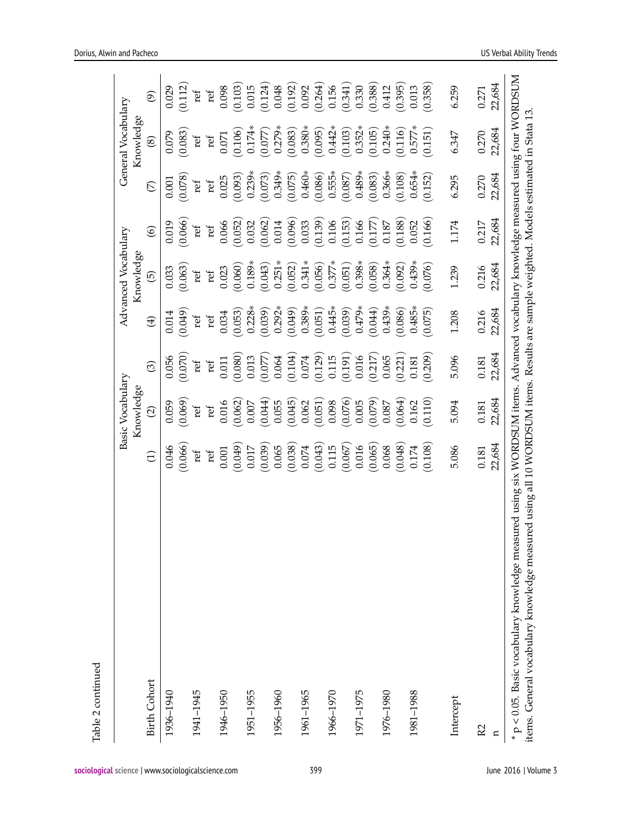|                     |             | Basic Vocabulary<br>Knowledge |         |             | Advanced Vocabulary<br>Knowledge |         |               | General Vocabulary<br>Knowledge |                          |
|---------------------|-------------|-------------------------------|---------|-------------|----------------------------------|---------|---------------|---------------------------------|--------------------------|
| <b>Birth Cohort</b> | $\bigoplus$ | $\widehat{\varpi}$            | $\odot$ | $\bigoplus$ | $\widehat{\Theta}$               | $\odot$ | $\mathcal{L}$ | $\circledast$                   | $\widehat{\mathfrak{G}}$ |
| 1936-1940           | 0.046       | 0.059                         | 0.056   | 0.014       | 0.033                            | 0.019   | 0.001         | 0.079                           | 0.029                    |
|                     | (0.066)     | (0.069)                       | (0.070) | (650.0)     | (0.063)                          | (0.066) | (0.078)       | (0.083)                         | (0.112)                  |
| 1941-1945           | ref         | ref                           | ref     | ref         | ref                              | ref     | ref           | $\operatorname{ref}$            | ref                      |
|                     | ref         | ref                           | ref     | ref         | ref                              | ref     | ref           | ref                             | ref                      |
| 1946-1950           | 0.001       | 0.016                         | 0.011   | 0.034       | 0.023                            | 0.066   | 0.025         | 0.071                           | 0.098                    |
|                     | (0.049)     | (0.062)                       | (0.080) | (0.053)     | (0.060)                          | (0.052) | (0.093)       | (0.106)                         | (0.103)                  |
| 1951-1955           | 0.017       | 0.007                         | 0.013   | $0.228*$    | $0.189*$                         | 0.032   | $0.239*$      | $0.174*$                        | 0.015                    |
|                     | (0.039)     | (0.044)                       | (0.077) | (0.039)     | (0.043)                          | (0.062) | (0.073)       | (0.077)                         | (0.124)                  |
| 1956-1960           | 0.065       | 0.055                         | 0.064   | $0.292*$    | $0.251*$                         | 0.014   | $0.349*$      | $0.279*$                        | 0.048                    |
|                     | (0.038)     | (0.045)                       | (0.104) | (650.0)     | (0.052)                          | (0.096) | (0.075)       | (0.083)                         | (0.192)                  |
| 1961-1965           | 0.074       | 0.062                         | 0.074   | $0.389*$    | $0.341*$                         | 0.033   | $0.460*$      | $0.380*$                        | 0.092                    |
|                     | (0.043)     | (0.051)                       | (0.129) | (0.051)     | (0.056)                          | (0.139) | (0.086)       | (0.095)                         | (0.264)                  |
| 1966-1970           | 0.115       | 0.098                         | 0.115   | $0.445*$    | $0.377*$                         | 0.106   | $0.555*$      | $0.442*$                        | 0.156                    |
|                     | (0.067)     | (0.076)                       | (0.191) | (0.039)     | (0.051)                          | (0.153) | (0.087)       | (0.103)                         | (0.341)                  |
| 1971-1975           | 0.016       | 0.005                         | 0.016   | $0.479*$    | $0.398*$                         | 0.166   | $0.489*$      | $0.352*$                        | 0.330                    |
|                     | (0.065)     | (0.079)                       | (0.217) | (44)        | (0.058)                          | (0.177) | (0.083)       | (0.105)                         | (0.388)                  |
| 1976-1980           | 0.068       | 0.087                         | 0.065   | $0.439*$    | $0.364*$                         | 0.187   | $0.366*$      | $0.240*$                        | 0.412                    |
|                     | (0.048)     | (0.064)                       | (0.221) | (0.086)     | (0.092)                          | (0.188) | (0.108)       | (0.116)                         | (0.395)                  |
| 1981-1988           | 0.174       | 0.162                         | 0.181   | $0.485*$    | $0.439*$                         | 0.052   | $0.654*$      | $0.577*$                        | 0.013                    |
|                     | (0.108)     | (0.110)                       | (0.209) | (0.075)     | (0.076)                          | (0.166) | (0.152)       | (0.151)                         | (0.358)                  |
| Intercept           | 5.086       | 5.094                         | 5.096   | 1.208       | 1.239                            | 1.174   | 6.295         | 6.347                           | 6.259                    |
|                     |             |                               |         |             |                                  |         |               |                                 |                          |
| R <sub>2</sub>      | 0.181       | 0.181                         | 0.181   | 0.216       | 0.216                            | 0.217   | 0.270         | 0.270                           | 0.271                    |
| n                   | 22,684      | 22,684                        | 22,684  | 22,684      | 22,684                           | 22,684  | 22,684        | 22,684                          | 22,684                   |

Table 2 continued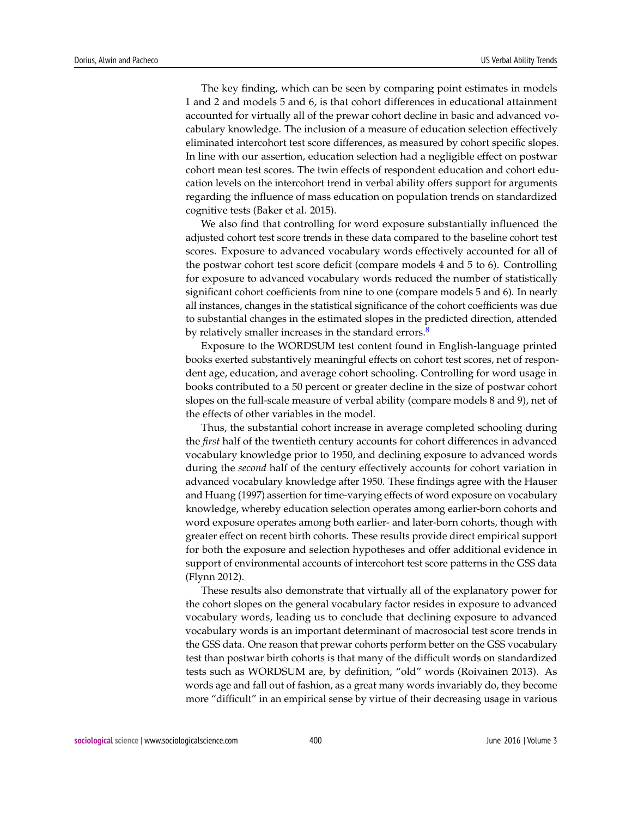The key finding, which can be seen by comparing point estimates in models 1 and 2 and models 5 and 6, is that cohort differences in educational attainment accounted for virtually all of the prewar cohort decline in basic and advanced vocabulary knowledge. The inclusion of a measure of education selection effectively eliminated intercohort test score differences, as measured by cohort specific slopes. In line with our assertion, education selection had a negligible effect on postwar cohort mean test scores. The twin effects of respondent education and cohort education levels on the intercohort trend in verbal ability offers support for arguments regarding the influence of mass education on population trends on standardized cognitive tests (Baker et al. 2015).

We also find that controlling for word exposure substantially influenced the adjusted cohort test score trends in these data compared to the baseline cohort test scores. Exposure to advanced vocabulary words effectively accounted for all of the postwar cohort test score deficit (compare models 4 and 5 to 6). Controlling for exposure to advanced vocabulary words reduced the number of statistically significant cohort coefficients from nine to one (compare models 5 and 6). In nearly all instances, changes in the statistical significance of the cohort coefficients was due to substantial changes in the estimated slopes in the predicted direction, attended by relatively smaller increases in the standard errors.<sup>[8](#page-22-5)</sup>

<span id="page-17-0"></span>Exposure to the WORDSUM test content found in English-language printed books exerted substantively meaningful effects on cohort test scores, net of respondent age, education, and average cohort schooling. Controlling for word usage in books contributed to a 50 percent or greater decline in the size of postwar cohort slopes on the full-scale measure of verbal ability (compare models 8 and 9), net of the effects of other variables in the model.

Thus, the substantial cohort increase in average completed schooling during the *first* half of the twentieth century accounts for cohort differences in advanced vocabulary knowledge prior to 1950, and declining exposure to advanced words during the *second* half of the century effectively accounts for cohort variation in advanced vocabulary knowledge after 1950. These findings agree with the Hauser and Huang (1997) assertion for time-varying effects of word exposure on vocabulary knowledge, whereby education selection operates among earlier-born cohorts and word exposure operates among both earlier- and later-born cohorts, though with greater effect on recent birth cohorts. These results provide direct empirical support for both the exposure and selection hypotheses and offer additional evidence in support of environmental accounts of intercohort test score patterns in the GSS data (Flynn 2012).

These results also demonstrate that virtually all of the explanatory power for the cohort slopes on the general vocabulary factor resides in exposure to advanced vocabulary words, leading us to conclude that declining exposure to advanced vocabulary words is an important determinant of macrosocial test score trends in the GSS data. One reason that prewar cohorts perform better on the GSS vocabulary test than postwar birth cohorts is that many of the difficult words on standardized tests such as WORDSUM are, by definition, "old" words (Roivainen 2013). As words age and fall out of fashion, as a great many words invariably do, they become more "difficult" in an empirical sense by virtue of their decreasing usage in various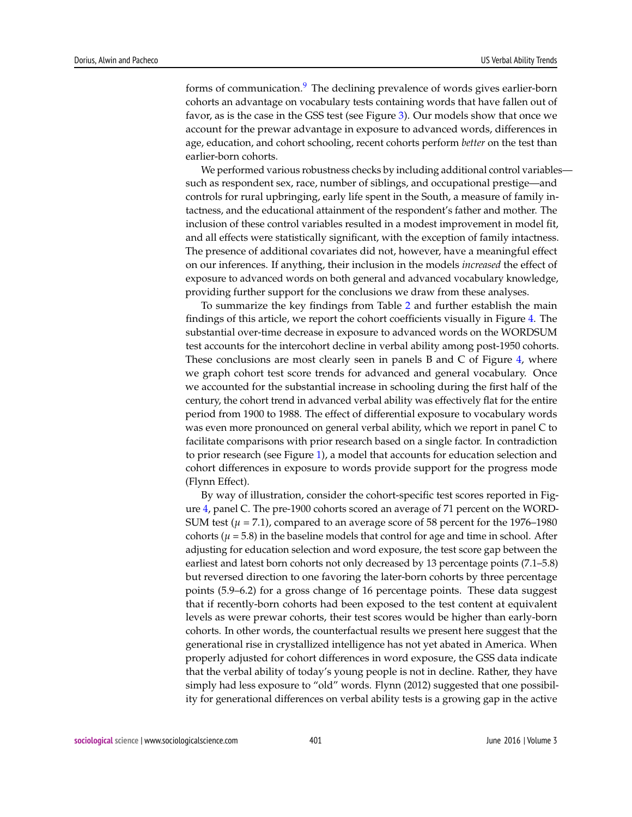<span id="page-18-0"></span>forms of communication.<sup>[9](#page-22-6)</sup> The declining prevalence of words gives earlier-born cohorts an advantage on vocabulary tests containing words that have fallen out of favor, as is the case in the GSS test (see Figure [3\)](#page-14-0). Our models show that once we account for the prewar advantage in exposure to advanced words, differences in age, education, and cohort schooling, recent cohorts perform *better* on the test than earlier-born cohorts.

We performed various robustness checks by including additional control variables such as respondent sex, race, number of siblings, and occupational prestige—and controls for rural upbringing, early life spent in the South, a measure of family intactness, and the educational attainment of the respondent's father and mother. The inclusion of these control variables resulted in a modest improvement in model fit, and all effects were statistically significant, with the exception of family intactness. The presence of additional covariates did not, however, have a meaningful effect on our inferences. If anything, their inclusion in the models *increased* the effect of exposure to advanced words on both general and advanced vocabulary knowledge, providing further support for the conclusions we draw from these analyses.

To summarize the key findings from Table [2](#page-15-0) and further establish the main findings of this article, we report the cohort coefficients visually in Figure [4.](#page-19-0) The substantial over-time decrease in exposure to advanced words on the WORDSUM test accounts for the intercohort decline in verbal ability among post-1950 cohorts. These conclusions are most clearly seen in panels B and C of Figure [4,](#page-19-0) where we graph cohort test score trends for advanced and general vocabulary. Once we accounted for the substantial increase in schooling during the first half of the century, the cohort trend in advanced verbal ability was effectively flat for the entire period from 1900 to 1988. The effect of differential exposure to vocabulary words was even more pronounced on general verbal ability, which we report in panel C to facilitate comparisons with prior research based on a single factor. In contradiction to prior research (see Figure [1\)](#page-4-0), a model that accounts for education selection and cohort differences in exposure to words provide support for the progress mode (Flynn Effect).

By way of illustration, consider the cohort-specific test scores reported in Figure [4,](#page-19-0) panel C. The pre-1900 cohorts scored an average of 71 percent on the WORD-SUM test ( $\mu$  = 7.1), compared to an average score of 58 percent for the 1976–1980 cohorts ( $\mu$  = 5.8) in the baseline models that control for age and time in school. After adjusting for education selection and word exposure, the test score gap between the earliest and latest born cohorts not only decreased by 13 percentage points (7.1–5.8) but reversed direction to one favoring the later-born cohorts by three percentage points (5.9–6.2) for a gross change of 16 percentage points. These data suggest that if recently-born cohorts had been exposed to the test content at equivalent levels as were prewar cohorts, their test scores would be higher than early-born cohorts. In other words, the counterfactual results we present here suggest that the generational rise in crystallized intelligence has not yet abated in America. When properly adjusted for cohort differences in word exposure, the GSS data indicate that the verbal ability of today's young people is not in decline. Rather, they have simply had less exposure to "old" words. Flynn (2012) suggested that one possibility for generational differences on verbal ability tests is a growing gap in the active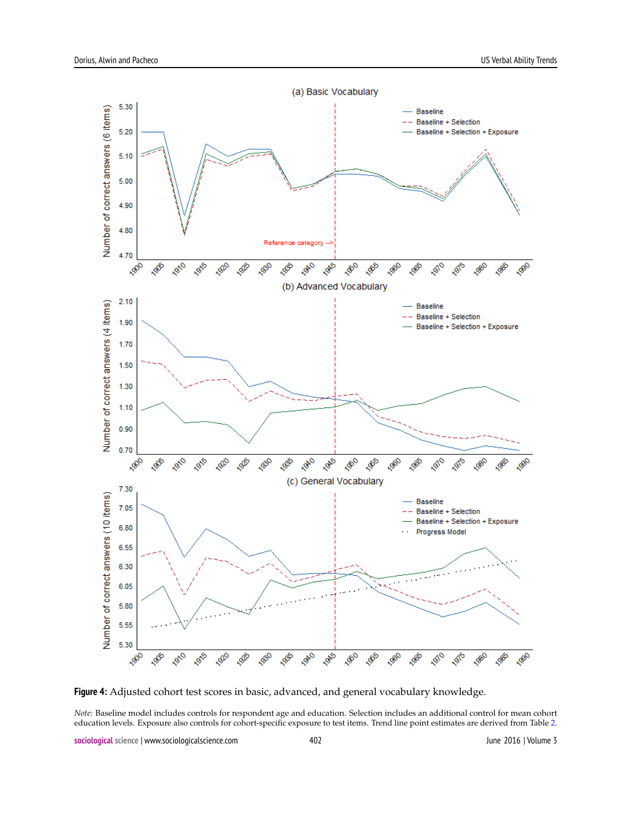<span id="page-19-0"></span>

**Figure 4:** Adjusted cohort test scores in basic, advanced, and general vocabulary knowledge.

*Note:* Baseline model includes controls for respondent age and education. Selection includes an additional control for mean cohort education levels. Exposure also controls for cohort-specific exposure to test items. Trend line point estimates are derived from Table [2.](#page-15-0)

**sociological science** | www.sociologicalscience.com 402 June 2016 | Volume 3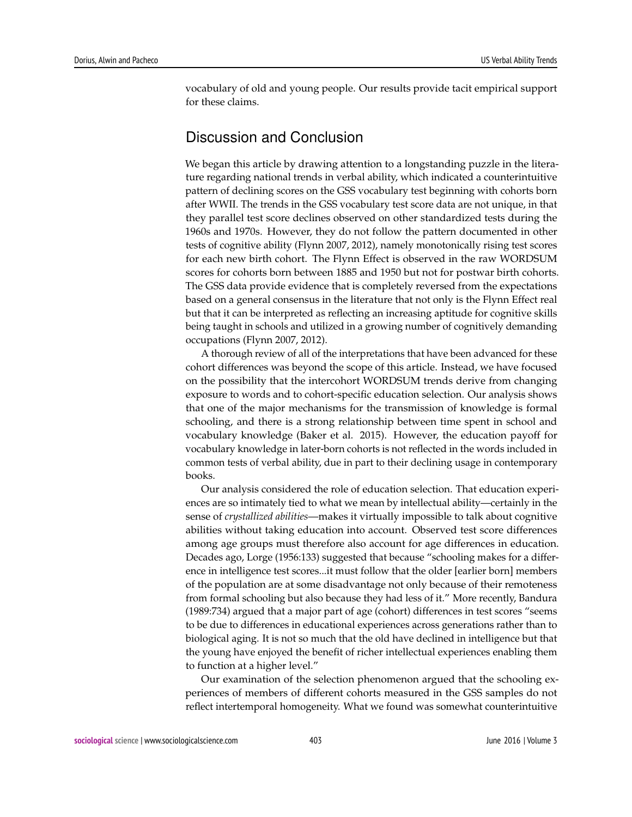vocabulary of old and young people. Our results provide tacit empirical support for these claims.

# Discussion and Conclusion

We began this article by drawing attention to a longstanding puzzle in the literature regarding national trends in verbal ability, which indicated a counterintuitive pattern of declining scores on the GSS vocabulary test beginning with cohorts born after WWII. The trends in the GSS vocabulary test score data are not unique, in that they parallel test score declines observed on other standardized tests during the 1960s and 1970s. However, they do not follow the pattern documented in other tests of cognitive ability (Flynn 2007, 2012), namely monotonically rising test scores for each new birth cohort. The Flynn Effect is observed in the raw WORDSUM scores for cohorts born between 1885 and 1950 but not for postwar birth cohorts. The GSS data provide evidence that is completely reversed from the expectations based on a general consensus in the literature that not only is the Flynn Effect real but that it can be interpreted as reflecting an increasing aptitude for cognitive skills being taught in schools and utilized in a growing number of cognitively demanding occupations (Flynn 2007, 2012).

A thorough review of all of the interpretations that have been advanced for these cohort differences was beyond the scope of this article. Instead, we have focused on the possibility that the intercohort WORDSUM trends derive from changing exposure to words and to cohort-specific education selection. Our analysis shows that one of the major mechanisms for the transmission of knowledge is formal schooling, and there is a strong relationship between time spent in school and vocabulary knowledge (Baker et al. 2015). However, the education payoff for vocabulary knowledge in later-born cohorts is not reflected in the words included in common tests of verbal ability, due in part to their declining usage in contemporary books.

Our analysis considered the role of education selection. That education experiences are so intimately tied to what we mean by intellectual ability—certainly in the sense of *crystallized abilities*—makes it virtually impossible to talk about cognitive abilities without taking education into account. Observed test score differences among age groups must therefore also account for age differences in education. Decades ago, Lorge (1956:133) suggested that because "schooling makes for a difference in intelligence test scores...it must follow that the older [earlier born] members of the population are at some disadvantage not only because of their remoteness from formal schooling but also because they had less of it." More recently, Bandura (1989:734) argued that a major part of age (cohort) differences in test scores "seems to be due to differences in educational experiences across generations rather than to biological aging. It is not so much that the old have declined in intelligence but that the young have enjoyed the benefit of richer intellectual experiences enabling them to function at a higher level."

Our examination of the selection phenomenon argued that the schooling experiences of members of different cohorts measured in the GSS samples do not reflect intertemporal homogeneity. What we found was somewhat counterintuitive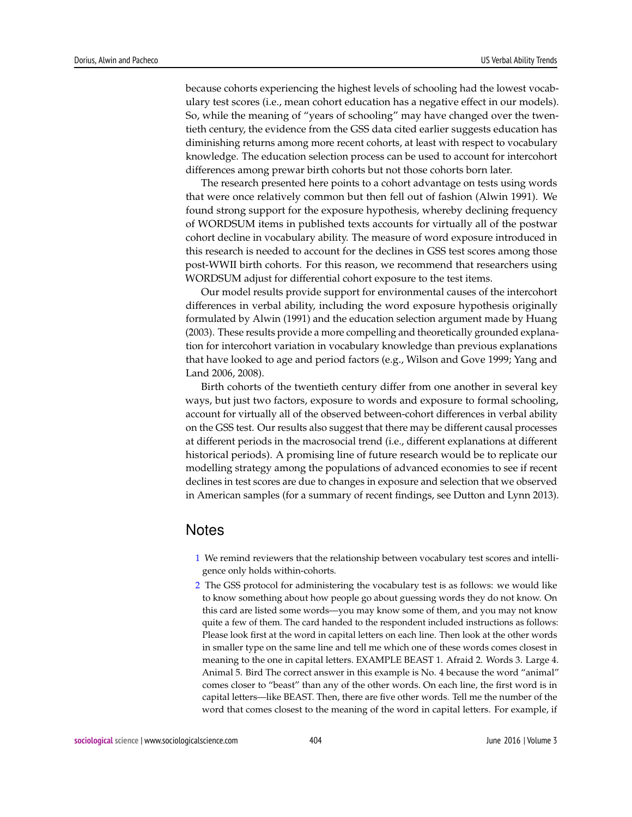because cohorts experiencing the highest levels of schooling had the lowest vocabulary test scores (i.e., mean cohort education has a negative effect in our models). So, while the meaning of "years of schooling" may have changed over the twentieth century, the evidence from the GSS data cited earlier suggests education has diminishing returns among more recent cohorts, at least with respect to vocabulary knowledge. The education selection process can be used to account for intercohort differences among prewar birth cohorts but not those cohorts born later.

The research presented here points to a cohort advantage on tests using words that were once relatively common but then fell out of fashion (Alwin 1991). We found strong support for the exposure hypothesis, whereby declining frequency of WORDSUM items in published texts accounts for virtually all of the postwar cohort decline in vocabulary ability. The measure of word exposure introduced in this research is needed to account for the declines in GSS test scores among those post-WWII birth cohorts. For this reason, we recommend that researchers using WORDSUM adjust for differential cohort exposure to the test items.

Our model results provide support for environmental causes of the intercohort differences in verbal ability, including the word exposure hypothesis originally formulated by Alwin (1991) and the education selection argument made by Huang (2003). These results provide a more compelling and theoretically grounded explanation for intercohort variation in vocabulary knowledge than previous explanations that have looked to age and period factors (e.g., Wilson and Gove 1999; Yang and Land 2006, 2008).

Birth cohorts of the twentieth century differ from one another in several key ways, but just two factors, exposure to words and exposure to formal schooling, account for virtually all of the observed between-cohort differences in verbal ability on the GSS test. Our results also suggest that there may be different causal processes at different periods in the macrosocial trend (i.e., different explanations at different historical periods). A promising line of future research would be to replicate our modelling strategy among the populations of advanced economies to see if recent declines in test scores are due to changes in exposure and selection that we observed in American samples (for a summary of recent findings, see Dutton and Lynn 2013).

### **Notes**

- <span id="page-21-0"></span>[1](#page-2-0) We remind reviewers that the relationship between vocabulary test scores and intelligence only holds within-cohorts.
- <span id="page-21-1"></span>[2](#page-10-0) The GSS protocol for administering the vocabulary test is as follows: we would like to know something about how people go about guessing words they do not know. On this card are listed some words—you may know some of them, and you may not know quite a few of them. The card handed to the respondent included instructions as follows: Please look first at the word in capital letters on each line. Then look at the other words in smaller type on the same line and tell me which one of these words comes closest in meaning to the one in capital letters. EXAMPLE BEAST 1. Afraid 2. Words 3. Large 4. Animal 5. Bird The correct answer in this example is No. 4 because the word "animal" comes closer to "beast" than any of the other words. On each line, the first word is in capital letters—like BEAST. Then, there are five other words. Tell me the number of the word that comes closest to the meaning of the word in capital letters. For example, if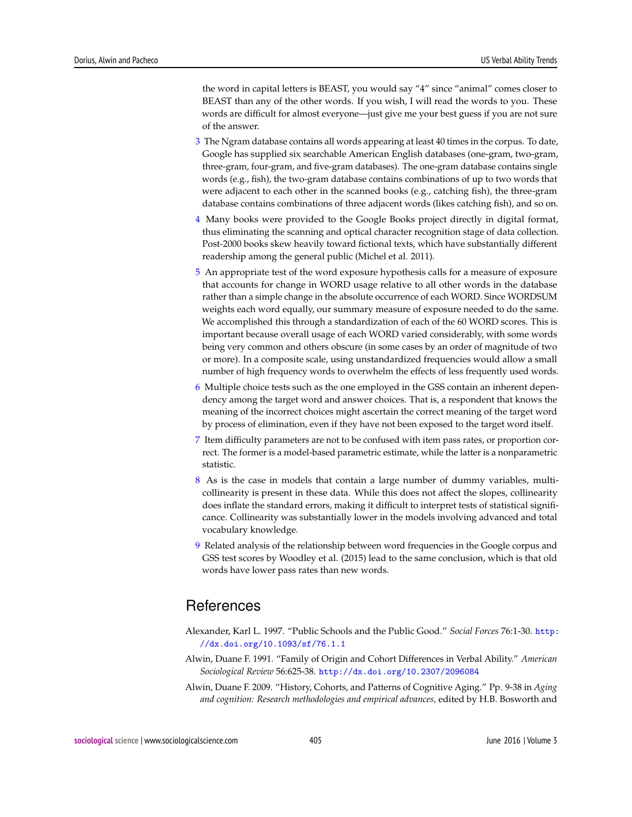the word in capital letters is BEAST, you would say "4" since "animal" comes closer to BEAST than any of the other words. If you wish, I will read the words to you. These words are difficult for almost everyone—just give me your best guess if you are not sure of the answer.

- <span id="page-22-0"></span>[3](#page-11-0) The Ngram database contains all words appearing at least 40 times in the corpus. To date, Google has supplied six searchable American English databases (one-gram, two-gram, three-gram, four-gram, and five-gram databases). The one-gram database contains single words (e.g., fish), the two-gram database contains combinations of up to two words that were adjacent to each other in the scanned books (e.g., catching fish), the three-gram database contains combinations of three adjacent words (likes catching fish), and so on.
- <span id="page-22-1"></span>[4](#page-11-1) Many books were provided to the Google Books project directly in digital format, thus eliminating the scanning and optical character recognition stage of data collection. Post-2000 books skew heavily toward fictional texts, which have substantially different readership among the general public (Michel et al. 2011).
- <span id="page-22-2"></span>[5](#page-11-2) An appropriate test of the word exposure hypothesis calls for a measure of exposure that accounts for change in WORD usage relative to all other words in the database rather than a simple change in the absolute occurrence of each WORD. Since WORDSUM weights each word equally, our summary measure of exposure needed to do the same. We accomplished this through a standardization of each of the 60 WORD scores. This is important because overall usage of each WORD varied considerably, with some words being very common and others obscure (in some cases by an order of magnitude of two or more). In a composite scale, using unstandardized frequencies would allow a small number of high frequency words to overwhelm the effects of less frequently used words.
- <span id="page-22-3"></span>[6](#page-11-3) Multiple choice tests such as the one employed in the GSS contain an inherent dependency among the target word and answer choices. That is, a respondent that knows the meaning of the incorrect choices might ascertain the correct meaning of the target word by process of elimination, even if they have not been exposed to the target word itself.
- <span id="page-22-4"></span>[7](#page-12-1) Item difficulty parameters are not to be confused with item pass rates, or proportion correct. The former is a model-based parametric estimate, while the latter is a nonparametric statistic.
- <span id="page-22-5"></span>[8](#page-17-0) As is the case in models that contain a large number of dummy variables, multicollinearity is present in these data. While this does not affect the slopes, collinearity does inflate the standard errors, making it difficult to interpret tests of statistical significance. Collinearity was substantially lower in the models involving advanced and total vocabulary knowledge.
- <span id="page-22-6"></span>[9](#page-18-0) Related analysis of the relationship between word frequencies in the Google corpus and GSS test scores by Woodley et al. (2015) lead to the same conclusion, which is that old words have lower pass rates than new words.

# **References**

- Alexander, Karl L. 1997. "Public Schools and the Public Good." *Social Forces* 76:1-30. [http:](http://dx.doi.org/10.1093/sf/76.1.1) [//dx.doi.org/10.1093/sf/76.1.1](http://dx.doi.org/10.1093/sf/76.1.1)
- Alwin, Duane F. 1991. "Family of Origin and Cohort Differences in Verbal Ability." *American Sociological Review* 56:625-38. <http://dx.doi.org/10.2307/2096084>
- Alwin, Duane F. 2009. "History, Cohorts, and Patterns of Cognitive Aging." Pp. 9-38 in *Aging and cognition: Research methodologies and empirical advances,* edited by H.B. Bosworth and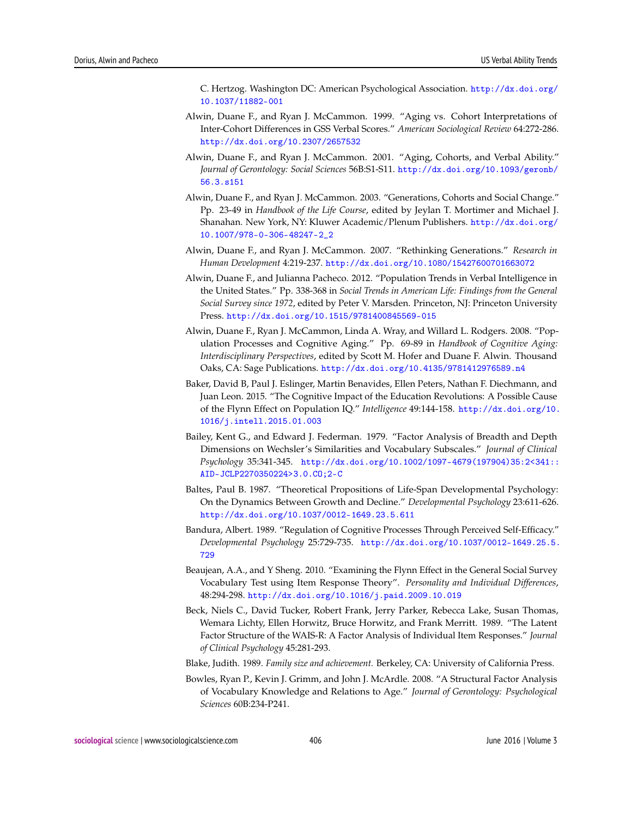C. Hertzog. Washington DC: American Psychological Association. [http://dx.doi.org/](http://dx.doi.org/10.1037/11882-001) [10.1037/11882-001](http://dx.doi.org/10.1037/11882-001)

- Alwin, Duane F., and Ryan J. McCammon. 1999. "Aging vs. Cohort Interpretations of Inter-Cohort Differences in GSS Verbal Scores." *American Sociological Review* 64:272-286. <http://dx.doi.org/10.2307/2657532>
- Alwin, Duane F., and Ryan J. McCammon. 2001. "Aging, Cohorts, and Verbal Ability." *Journal of Gerontology: Social Sciences* 56B:S1-S11. [http://dx.doi.org/10.1093/geronb/](http://dx.doi.org/10.1093/geronb/56.3.s151) [56.3.s151](http://dx.doi.org/10.1093/geronb/56.3.s151)
- Alwin, Duane F., and Ryan J. McCammon. 2003. "Generations, Cohorts and Social Change." Pp. 23-49 in *Handbook of the Life Course*, edited by Jeylan T. Mortimer and Michael J. Shanahan. New York, NY: Kluwer Academic/Plenum Publishers. [http://dx.doi.org/](http://dx.doi.org/10.1007/978-0-306-48247-2_2) [10.1007/978-0-306-48247-2\\_2](http://dx.doi.org/10.1007/978-0-306-48247-2_2)
- Alwin, Duane F., and Ryan J. McCammon. 2007. "Rethinking Generations." *Research in Human Development* 4:219-237. <http://dx.doi.org/10.1080/15427600701663072>
- Alwin, Duane F., and Julianna Pacheco. 2012. "Population Trends in Verbal Intelligence in the United States." Pp. 338-368 in *Social Trends in American Life: Findings from the General Social Survey since 1972*, edited by Peter V. Marsden. Princeton, NJ: Princeton University Press. <http://dx.doi.org/10.1515/9781400845569-015>
- Alwin, Duane F., Ryan J. McCammon, Linda A. Wray, and Willard L. Rodgers. 2008. "Population Processes and Cognitive Aging." Pp. 69-89 in *Handbook of Cognitive Aging: Interdisciplinary Perspectives*, edited by Scott M. Hofer and Duane F. Alwin. Thousand Oaks, CA: Sage Publications. <http://dx.doi.org/10.4135/9781412976589.n4>
- Baker, David B, Paul J. Eslinger, Martin Benavides, Ellen Peters, Nathan F. Diechmann, and Juan Leon. 2015. "The Cognitive Impact of the Education Revolutions: A Possible Cause of the Flynn Effect on Population IQ." *Intelligence* 49:144-158. [http://dx.doi.org/10.](http://dx.doi.org/10.1016/j.intell.2015.01.003) [1016/j.intell.2015.01.003](http://dx.doi.org/10.1016/j.intell.2015.01.003)
- Bailey, Kent G., and Edward J. Federman. 1979. "Factor Analysis of Breadth and Depth Dimensions on Wechsler's Similarities and Vocabulary Subscales." *Journal of Clinical Psychology* 35:341-345. [http://dx.doi.org/10.1002/1097-4679\(197904\)35:2<341::](http://dx.doi.org/10.1002/1097-4679(197904)35:2<341::AID-JCLP2270350224>3.0.CO;2-C) [AID-JCLP2270350224>3.0.CO;2-C](http://dx.doi.org/10.1002/1097-4679(197904)35:2<341::AID-JCLP2270350224>3.0.CO;2-C)
- Baltes, Paul B. 1987. "Theoretical Propositions of Life-Span Developmental Psychology: On the Dynamics Between Growth and Decline." *Developmental Psychology* 23:611-626. <http://dx.doi.org/10.1037/0012-1649.23.5.611>
- Bandura, Albert. 1989. "Regulation of Cognitive Processes Through Perceived Self-Efficacy." *Developmental Psychology* 25:729-735. [http://dx.doi.org/10.1037/0012-1649.25.5.](http://dx.doi.org/10.1037/0012-1649.25.5.729) [729](http://dx.doi.org/10.1037/0012-1649.25.5.729)
- Beaujean, A.A., and Y Sheng. 2010. "Examining the Flynn Effect in the General Social Survey Vocabulary Test using Item Response Theory". *Personality and Individual Differences*, 48:294-298. <http://dx.doi.org/10.1016/j.paid.2009.10.019>
- Beck, Niels C., David Tucker, Robert Frank, Jerry Parker, Rebecca Lake, Susan Thomas, Wemara Lichty, Ellen Horwitz, Bruce Horwitz, and Frank Merritt. 1989. "The Latent Factor Structure of the WAIS-R: A Factor Analysis of Individual Item Responses." *Journal of Clinical Psychology* 45:281-293.
- Blake, Judith. 1989. *Family size and achievement.* Berkeley, CA: University of California Press.
- Bowles, Ryan P., Kevin J. Grimm, and John J. McArdle. 2008. "A Structural Factor Analysis of Vocabulary Knowledge and Relations to Age." *Journal of Gerontology: Psychological Sciences* 60B:234-P241.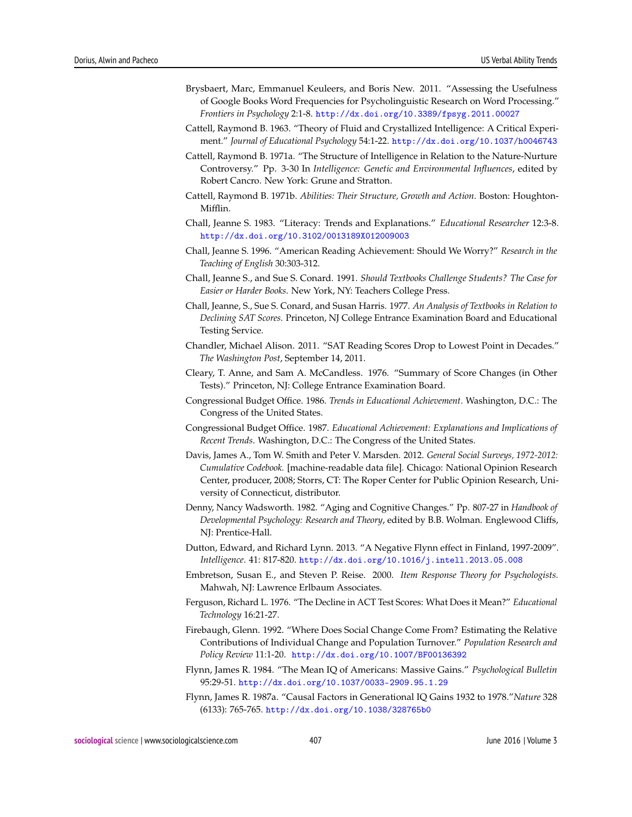- Brysbaert, Marc, Emmanuel Keuleers, and Boris New. 2011. "Assessing the Usefulness of Google Books Word Frequencies for Psycholinguistic Research on Word Processing." *Frontiers in Psychology* 2:1-8. <http://dx.doi.org/10.3389/fpsyg.2011.00027>
- Cattell, Raymond B. 1963. "Theory of Fluid and Crystallized Intelligence: A Critical Experiment." *Journal of Educational Psychology* 54:1-22. <http://dx.doi.org/10.1037/h0046743>
- Cattell, Raymond B. 1971a. "The Structure of Intelligence in Relation to the Nature-Nurture Controversy." Pp. 3-30 In *Intelligence: Genetic and Environmental Influences*, edited by Robert Cancro. New York: Grune and Stratton.
- Cattell, Raymond B. 1971b. *Abilities: Their Structure, Growth and Action*. Boston: Houghton-Mifflin.
- Chall, Jeanne S. 1983. "Literacy: Trends and Explanations." *Educational Researcher* 12:3-8. <http://dx.doi.org/10.3102/0013189X012009003>
- Chall, Jeanne S. 1996. "American Reading Achievement: Should We Worry?" *Research in the Teaching of English* 30:303-312.
- Chall, Jeanne S., and Sue S. Conard. 1991. *Should Textbooks Challenge Students? The Case for Easier or Harder Books*. New York, NY: Teachers College Press.
- Chall, Jeanne, S., Sue S. Conard, and Susan Harris. 1977. *An Analysis of Textbooks in Relation to Declining SAT Scores*. Princeton, NJ College Entrance Examination Board and Educational Testing Service.
- Chandler, Michael Alison. 2011. "SAT Reading Scores Drop to Lowest Point in Decades." *The Washington Post*, September 14, 2011.
- Cleary, T. Anne, and Sam A. McCandless. 1976. "Summary of Score Changes (in Other Tests)." Princeton, NJ: College Entrance Examination Board.
- Congressional Budget Office. 1986. *Trends in Educational Achievement*. Washington, D.C.: The Congress of the United States.
- Congressional Budget Office. 1987. *Educational Achievement: Explanations and Implications of Recent Trends*. Washington, D.C.: The Congress of the United States.
- Davis, James A., Tom W. Smith and Peter V. Marsden. 2012. *General Social Surveys, 1972-2012: Cumulative Codebook.* [machine-readable data file]*.* Chicago: National Opinion Research Center, producer, 2008; Storrs, CT: The Roper Center for Public Opinion Research, University of Connecticut, distributor.
- Denny, Nancy Wadsworth. 1982. "Aging and Cognitive Changes." Pp. 807-27 in *Handbook of Developmental Psychology: Research and Theory*, edited by B.B. Wolman. Englewood Cliffs, NJ: Prentice-Hall.
- Dutton, Edward, and Richard Lynn. 2013. "A Negative Flynn effect in Finland, 1997-2009". *Intelligence*. 41: 817-820. <http://dx.doi.org/10.1016/j.intell.2013.05.008>
- Embretson, Susan E., and Steven P. Reise. 2000. *Item Response Theory for Psychologists.* Mahwah, NJ: Lawrence Erlbaum Associates.
- Ferguson, Richard L. 1976. "The Decline in ACT Test Scores: What Does it Mean?" *Educational Technology* 16:21-27.
- Firebaugh, Glenn. 1992. "Where Does Social Change Come From? Estimating the Relative Contributions of Individual Change and Population Turnover." *Population Research and Policy Review* 11:1-20. <http://dx.doi.org/10.1007/BF00136392>
- Flynn, James R. 1984. "The Mean IQ of Americans: Massive Gains." *Psychological Bulletin* 95:29-51. <http://dx.doi.org/10.1037/0033-2909.95.1.29>
- Flynn, James R. 1987a. "Causal Factors in Generational IQ Gains 1932 to 1978."*Nature* 328 (6133): 765-765. <http://dx.doi.org/10.1038/328765b0>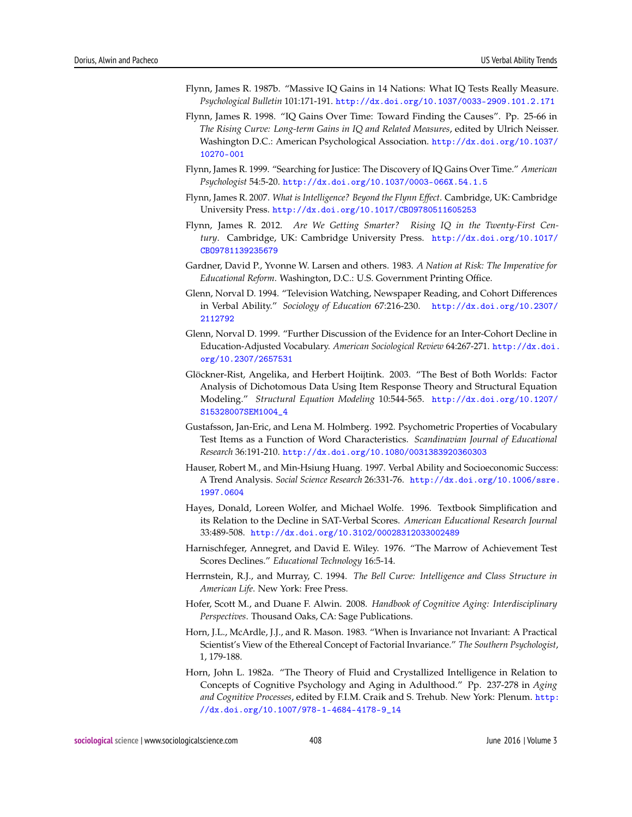- Flynn, James R. 1987b. "Massive IQ Gains in 14 Nations: What IQ Tests Really Measure. *Psychological Bulletin* 101:171-191. <http://dx.doi.org/10.1037/0033-2909.101.2.171>
- Flynn, James R. 1998. "IQ Gains Over Time: Toward Finding the Causes". Pp. 25-66 in *The Rising Curve: Long-term Gains in IQ and Related Measures*, edited by Ulrich Neisser. Washington D.C.: American Psychological Association. [http://dx.doi.org/10.1037/](http://dx.doi.org/10.1037/10270-001) [10270-001](http://dx.doi.org/10.1037/10270-001)
- Flynn, James R. 1999. "Searching for Justice: The Discovery of IQ Gains Over Time." *American Psychologist* 54:5-20. <http://dx.doi.org/10.1037/0003-066X.54.1.5>
- Flynn, James R. 2007. *What is Intelligence? Beyond the Flynn Effect*. Cambridge, UK: Cambridge University Press. <http://dx.doi.org/10.1017/CBO9780511605253>
- Flynn, James R. 2012. *Are We Getting Smarter? Rising IQ in the Twenty-First Century*. Cambridge, UK: Cambridge University Press. [http://dx.doi.org/10.1017/](http://dx.doi.org/10.1017/CBO9781139235679) [CBO9781139235679](http://dx.doi.org/10.1017/CBO9781139235679)
- Gardner, David P., Yvonne W. Larsen and others. 1983. *A Nation at Risk: The Imperative for Educational Reform*. Washington, D.C.: U.S. Government Printing Office.
- Glenn, Norval D. 1994. "Television Watching, Newspaper Reading, and Cohort Differences in Verbal Ability." *Sociology of Education* 67:216-230. [http://dx.doi.org/10.2307/](http://dx.doi.org/10.2307/2112792) [2112792](http://dx.doi.org/10.2307/2112792)
- Glenn, Norval D. 1999. "Further Discussion of the Evidence for an Inter-Cohort Decline in Education-Adjusted Vocabulary. *American Sociological Review* 64:267-271. [http://dx.doi.](http://dx.doi.org/10.2307/2657531) [org/10.2307/2657531](http://dx.doi.org/10.2307/2657531)
- Glöckner-Rist, Angelika, and Herbert Hoijtink. 2003. "The Best of Both Worlds: Factor Analysis of Dichotomous Data Using Item Response Theory and Structural Equation Modeling." *Structural Equation Modeling* 10:544-565. [http://dx.doi.org/10.1207/](http://dx.doi.org/10.1207/S15328007SEM1004_4) [S15328007SEM1004\\_4](http://dx.doi.org/10.1207/S15328007SEM1004_4)
- Gustafsson, Jan-Eric, and Lena M. Holmberg. 1992. Psychometric Properties of Vocabulary Test Items as a Function of Word Characteristics. *Scandinavian Journal of Educational Research* 36:191-210. <http://dx.doi.org/10.1080/0031383920360303>
- Hauser, Robert M., and Min-Hsiung Huang. 1997. Verbal Ability and Socioeconomic Success: A Trend Analysis. *Social Science Research* 26:331-76. [http://dx.doi.org/10.1006/ssre.](http://dx.doi.org/10.1006/ssre.1997.0604) [1997.0604](http://dx.doi.org/10.1006/ssre.1997.0604)
- Hayes, Donald, Loreen Wolfer, and Michael Wolfe. 1996. Textbook Simplification and its Relation to the Decline in SAT-Verbal Scores. *American Educational Research Journal* 33:489-508. <http://dx.doi.org/10.3102/00028312033002489>
- Harnischfeger, Annegret, and David E. Wiley. 1976. "The Marrow of Achievement Test Scores Declines." *Educational Technology* 16:5-14.
- Herrnstein, R.J., and Murray, C. 1994. *The Bell Curve: Intelligence and Class Structure in American Life*. New York: Free Press.
- Hofer, Scott M., and Duane F. Alwin. 2008. *Handbook of Cognitive Aging: Interdisciplinary Perspectives*. Thousand Oaks, CA: Sage Publications.
- Horn, J.L., McArdle, J.J., and R. Mason. 1983. "When is Invariance not Invariant: A Practical Scientist's View of the Ethereal Concept of Factorial Invariance." *The Southern Psychologist*, 1, 179-188.
- Horn, John L. 1982a. "The Theory of Fluid and Crystallized Intelligence in Relation to Concepts of Cognitive Psychology and Aging in Adulthood." Pp. 237-278 in *Aging and Cognitive Processes*, edited by F.I.M. Craik and S. Trehub*.* New York: Plenum. [http:](http://dx.doi.org/10.1007/978-1-4684-4178-9_14) [//dx.doi.org/10.1007/978-1-4684-4178-9\\_14](http://dx.doi.org/10.1007/978-1-4684-4178-9_14)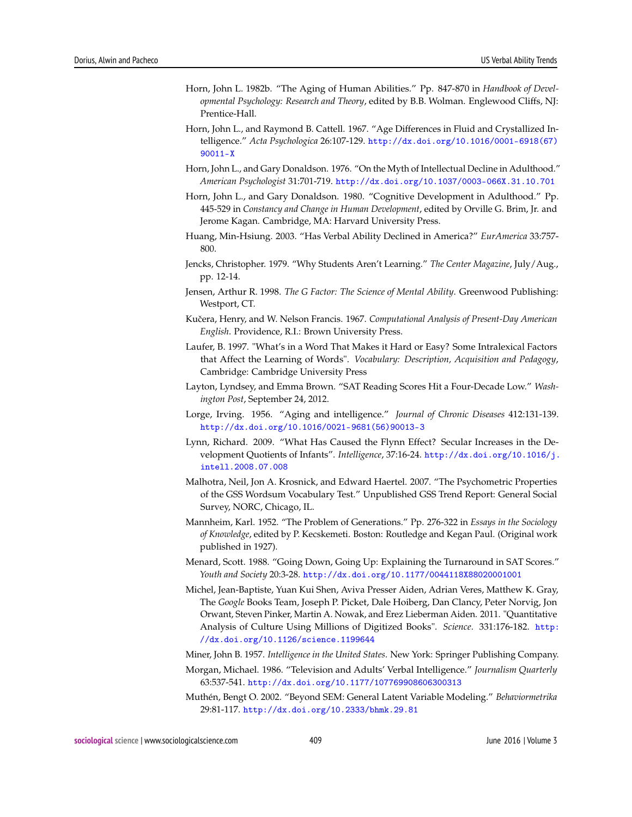- Horn, John L. 1982b. "The Aging of Human Abilities." Pp. 847-870 in *Handbook of Developmental Psychology: Research and Theory*, edited by B.B. Wolman. Englewood Cliffs, NJ: Prentice-Hall.
- Horn, John L., and Raymond B. Cattell. 1967. "Age Differences in Fluid and Crystallized Intelligence." *Acta Psychologica* 26:107-129. [http://dx.doi.org/10.1016/0001-6918\(67\)](http://dx.doi.org/10.1016/0001-6918(67)90011-X) [90011-X](http://dx.doi.org/10.1016/0001-6918(67)90011-X)
- Horn, John L., and Gary Donaldson. 1976. "On the Myth of Intellectual Decline in Adulthood." *American Psychologist* 31:701-719. <http://dx.doi.org/10.1037/0003-066X.31.10.701>
- Horn, John L., and Gary Donaldson. 1980. "Cognitive Development in Adulthood." Pp. 445-529 in *Constancy and Change in Human Development*, edited by Orville G. Brim, Jr. and Jerome Kagan. Cambridge, MA: Harvard University Press.
- Huang, Min-Hsiung. 2003. "Has Verbal Ability Declined in America?" *EurAmerica* 33:757- 800.
- Jencks, Christopher. 1979. "Why Students Aren't Learning." *The Center Magazine*, July/Aug., pp. 12-14.
- Jensen, Arthur R. 1998. *The G Factor: The Science of Mental Ability*. Greenwood Publishing: Westport, CT.
- Kuˇcera, Henry, and W. Nelson Francis. 1967. *Computational Analysis of Present-Day American English*. Providence, R.I.: Brown University Press.
- Laufer, B. 1997. "What's in a Word That Makes it Hard or Easy? Some Intralexical Factors that Affect the Learning of Words". *Vocabulary: Description, Acquisition and Pedagogy*, Cambridge: Cambridge University Press
- Layton, Lyndsey, and Emma Brown. "SAT Reading Scores Hit a Four-Decade Low." *Washington Post*, September 24, 2012.
- Lorge, Irving. 1956. "Aging and intelligence." *Journal of Chronic Diseases* 412:131-139. [http://dx.doi.org/10.1016/0021-9681\(56\)90013-3](http://dx.doi.org/10.1016/0021-9681(56)90013-3)
- Lynn, Richard. 2009. "What Has Caused the Flynn Effect? Secular Increases in the Development Quotients of Infants". *Intelligence*, 37:16-24. [http://dx.doi.org/10.1016/j.](http://dx.doi.org/10.1016/j.intell.2008.07.008) [intell.2008.07.008](http://dx.doi.org/10.1016/j.intell.2008.07.008)
- Malhotra, Neil, Jon A. Krosnick, and Edward Haertel. 2007. "The Psychometric Properties of the GSS Wordsum Vocabulary Test." Unpublished GSS Trend Report: General Social Survey, NORC, Chicago, IL.
- Mannheim, Karl. 1952. "The Problem of Generations." Pp. 276-322 in *Essays in the Sociology of Knowledge*, edited by P. Kecskemeti. Boston: Routledge and Kegan Paul. (Original work published in 1927).
- Menard, Scott. 1988. "Going Down, Going Up: Explaining the Turnaround in SAT Scores." *Youth and Society* 20:3-28. <http://dx.doi.org/10.1177/0044118X88020001001>
- Michel, Jean-Baptiste, Yuan Kui Shen, Aviva Presser Aiden, Adrian Veres, Matthew K. Gray, The *Google* Books Team, Joseph P. Picket, Dale Hoiberg, Dan Clancy, Peter Norvig, Jon Orwant, Steven Pinker, Martin A. Nowak, and Erez Lieberman Aiden. 2011. "Quantitative Analysis of Culture Using Millions of Digitized Books". *Science*. 331:176-182. [http:](http://dx.doi.org/10.1126/science.1199644) [//dx.doi.org/10.1126/science.1199644](http://dx.doi.org/10.1126/science.1199644)
- Miner, John B. 1957. *Intelligence in the United States*. New York: Springer Publishing Company.
- Morgan, Michael. 1986. "Television and Adults' Verbal Intelligence." *Journalism Quarterly* 63:537-541. <http://dx.doi.org/10.1177/107769908606300313>
- Muthén, Bengt O. 2002. "Beyond SEM: General Latent Variable Modeling." *Behaviormetrika* 29:81-117. <http://dx.doi.org/10.2333/bhmk.29.81>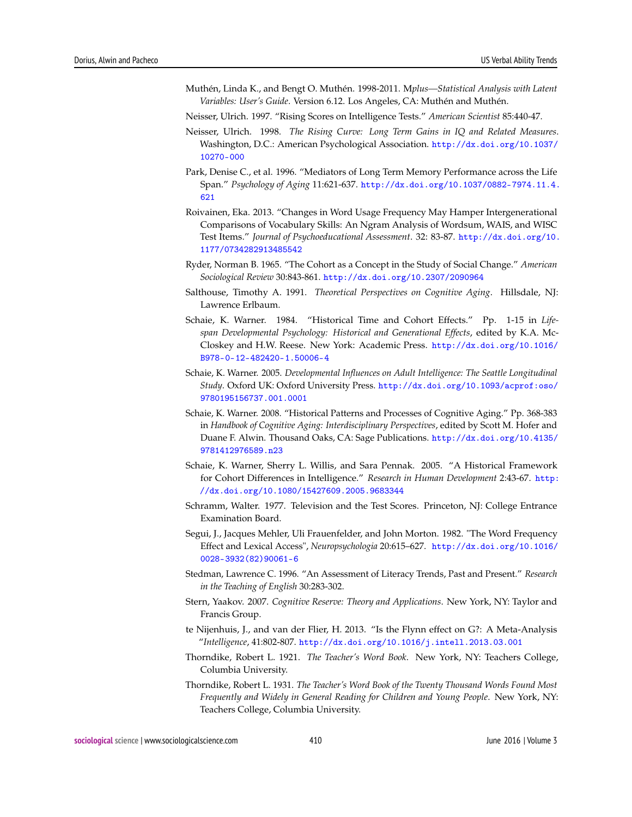- Muthén, Linda K., and Bengt O. Muthén. 1998-2011. M*plus—Statistical Analysis with Latent Variables: User's Guide*. Version 6.12. Los Angeles, CA: Muthén and Muthén.
- Neisser, Ulrich. 1997. "Rising Scores on Intelligence Tests." *American Scientist* 85:440-47.
- Neisser, Ulrich. 1998. *The Rising Curve: Long Term Gains in IQ and Related Measures*. Washington, D.C.: American Psychological Association. [http://dx.doi.org/10.1037/](http://dx.doi.org/10.1037/10270-000) [10270-000](http://dx.doi.org/10.1037/10270-000)
- Park, Denise C., et al. 1996. "Mediators of Long Term Memory Performance across the Life Span." *Psychology of Aging* 11:621-637. [http://dx.doi.org/10.1037/0882-7974.11.4.](http://dx.doi.org/10.1037/0882-7974.11.4.621) [621](http://dx.doi.org/10.1037/0882-7974.11.4.621)
- Roivainen, Eka. 2013. "Changes in Word Usage Frequency May Hamper Intergenerational Comparisons of Vocabulary Skills: An Ngram Analysis of Wordsum, WAIS, and WISC Test Items." *Journal of Psychoeducational Assessment*. 32: 83-87. [http://dx.doi.org/10.](http://dx.doi.org/10.1177/0734282913485542) [1177/0734282913485542](http://dx.doi.org/10.1177/0734282913485542)
- Ryder, Norman B. 1965. "The Cohort as a Concept in the Study of Social Change." *American Sociological Review* 30:843-861. <http://dx.doi.org/10.2307/2090964>
- Salthouse, Timothy A. 1991. *Theoretical Perspectives on Cognitive Aging*. Hillsdale, NJ: Lawrence Erlbaum.
- Schaie, K. Warner. 1984. "Historical Time and Cohort Effects." Pp. 1-15 in *Lifespan Developmental Psychology: Historical and Generational Effects*, edited by K.A. Mc-Closkey and H.W. Reese. New York: Academic Press. [http://dx.doi.org/10.1016/](http://dx.doi.org/10.1016/B978-0-12-482420-1.50006-4) [B978-0-12-482420-1.50006-4](http://dx.doi.org/10.1016/B978-0-12-482420-1.50006-4)
- Schaie, K. Warner. 2005. *Developmental Influences on Adult Intelligence: The Seattle Longitudinal Study*. Oxford UK: Oxford University Press. [http://dx.doi.org/10.1093/acprof:oso/](http://dx.doi.org/10.1093/acprof:oso/9780195156737.001.0001) [9780195156737.001.0001](http://dx.doi.org/10.1093/acprof:oso/9780195156737.001.0001)
- Schaie, K. Warner. 2008. "Historical Patterns and Processes of Cognitive Aging." Pp. 368-383 in *Handbook of Cognitive Aging: Interdisciplinary Perspectives*, edited by Scott M. Hofer and Duane F. Alwin. Thousand Oaks, CA: Sage Publications. [http://dx.doi.org/10.4135/](http://dx.doi.org/10.4135/9781412976589.n23) [9781412976589.n23](http://dx.doi.org/10.4135/9781412976589.n23)
- Schaie, K. Warner, Sherry L. Willis, and Sara Pennak. 2005. "A Historical Framework for Cohort Differences in Intelligence." *Research in Human Development* 2:43-67. [http:](http://dx.doi.org/10.1080/15427609.2005.9683344) [//dx.doi.org/10.1080/15427609.2005.9683344](http://dx.doi.org/10.1080/15427609.2005.9683344)
- Schramm, Walter. 1977. Television and the Test Scores. Princeton, NJ: College Entrance Examination Board.
- Segui, J., Jacques Mehler, Uli Frauenfelder, and John Morton. 1982. "The Word Frequency Effect and Lexical Access", *Neuropsychologia* 20:615–627. [http://dx.doi.org/10.1016/](http://dx.doi.org/10.1016/0028-3932(82)90061-6) [0028-3932\(82\)90061-6](http://dx.doi.org/10.1016/0028-3932(82)90061-6)
- Stedman, Lawrence C. 1996. "An Assessment of Literacy Trends, Past and Present." *Research in the Teaching of English* 30:283-302.
- Stern, Yaakov. 2007. *Cognitive Reserve: Theory and Applications*. New York, NY: Taylor and Francis Group.
- te Nijenhuis, J., and van der Flier, H. 2013. "Is the Flynn effect on G?: A Meta-Analysis "*Intelligence*, 41:802-807. <http://dx.doi.org/10.1016/j.intell.2013.03.001>
- Thorndike, Robert L. 1921. *The Teacher's Word Book*. New York, NY: Teachers College, Columbia University.
- Thorndike, Robert L. 1931. *The Teacher's Word Book of the Twenty Thousand Words Found Most Frequently and Widely in General Reading for Children and Young People*. New York, NY: Teachers College, Columbia University.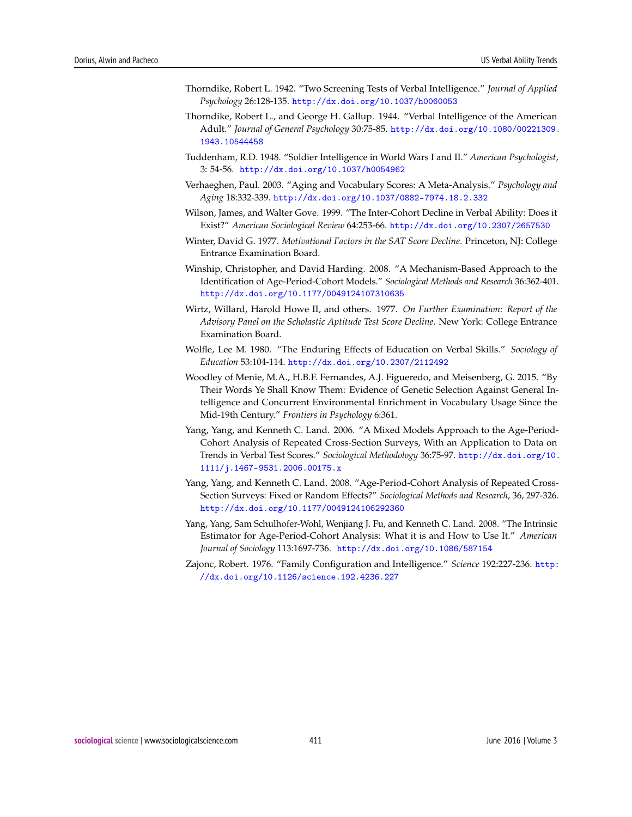- Thorndike, Robert L. 1942. "Two Screening Tests of Verbal Intelligence." *Journal of Applied Psychology* 26:128-135. <http://dx.doi.org/10.1037/h0060053>
- Thorndike, Robert L., and George H. Gallup. 1944. "Verbal Intelligence of the American Adult." *Journal of General Psychology* 30:75-85. [http://dx.doi.org/10.1080/00221309.](http://dx.doi.org/10.1080/00221309.1943.10544458) [1943.10544458](http://dx.doi.org/10.1080/00221309.1943.10544458)
- Tuddenham, R.D. 1948. "Soldier Intelligence in World Wars I and II." *American Psychologist*, 3: 54-56. <http://dx.doi.org/10.1037/h0054962>
- Verhaeghen, Paul. 2003. "Aging and Vocabulary Scores: A Meta-Analysis." *Psychology and Aging* 18:332-339. <http://dx.doi.org/10.1037/0882-7974.18.2.332>
- Wilson, James, and Walter Gove. 1999. "The Inter-Cohort Decline in Verbal Ability: Does it Exist?" *American Sociological Review* 64:253-66. <http://dx.doi.org/10.2307/2657530>
- Winter, David G. 1977. *Motivational Factors in the SAT Score Decline*. Princeton, NJ: College Entrance Examination Board.
- Winship, Christopher, and David Harding. 2008. "A Mechanism-Based Approach to the Identification of Age-Period-Cohort Models." *Sociological Methods and Research* 36:362-401. <http://dx.doi.org/10.1177/0049124107310635>
- Wirtz, Willard, Harold Howe II, and others. 1977. *On Further Examination: Report of the Advisory Panel on the Scholastic Aptitude Test Score Decline*. New York: College Entrance Examination Board.
- Wolfle, Lee M. 1980. "The Enduring Effects of Education on Verbal Skills." *Sociology of Education* 53:104-114. <http://dx.doi.org/10.2307/2112492>
- Woodley of Menie, M.A., H.B.F. Fernandes, A.J. Figueredo, and Meisenberg, G. 2015. "By Their Words Ye Shall Know Them: Evidence of Genetic Selection Against General Intelligence and Concurrent Environmental Enrichment in Vocabulary Usage Since the Mid-19th Century." *Frontiers in Psychology* 6:361.
- Yang, Yang, and Kenneth C. Land. 2006. "A Mixed Models Approach to the Age-Period-Cohort Analysis of Repeated Cross-Section Surveys, With an Application to Data on Trends in Verbal Test Scores." *Sociological Methodology* 36:75-97. [http://dx.doi.org/10.](http://dx.doi.org/10.1111/j.1467-9531.2006.00175.x) [1111/j.1467-9531.2006.00175.x](http://dx.doi.org/10.1111/j.1467-9531.2006.00175.x)
- Yang, Yang, and Kenneth C. Land. 2008. "Age-Period-Cohort Analysis of Repeated Cross-Section Surveys: Fixed or Random Effects?" *Sociological Methods and Research*, 36, 297-326. <http://dx.doi.org/10.1177/0049124106292360>
- Yang, Yang, Sam Schulhofer-Wohl, Wenjiang J. Fu, and Kenneth C. Land. 2008. "The Intrinsic Estimator for Age-Period-Cohort Analysis: What it is and How to Use It." *American Journal of Sociology* 113:1697-736. <http://dx.doi.org/10.1086/587154>
- Zajonc, Robert. 1976. "Family Configuration and Intelligence." *Science* 192:227-236. [http:](http://dx.doi.org/10.1126/science.192.4236.227) [//dx.doi.org/10.1126/science.192.4236.227](http://dx.doi.org/10.1126/science.192.4236.227)